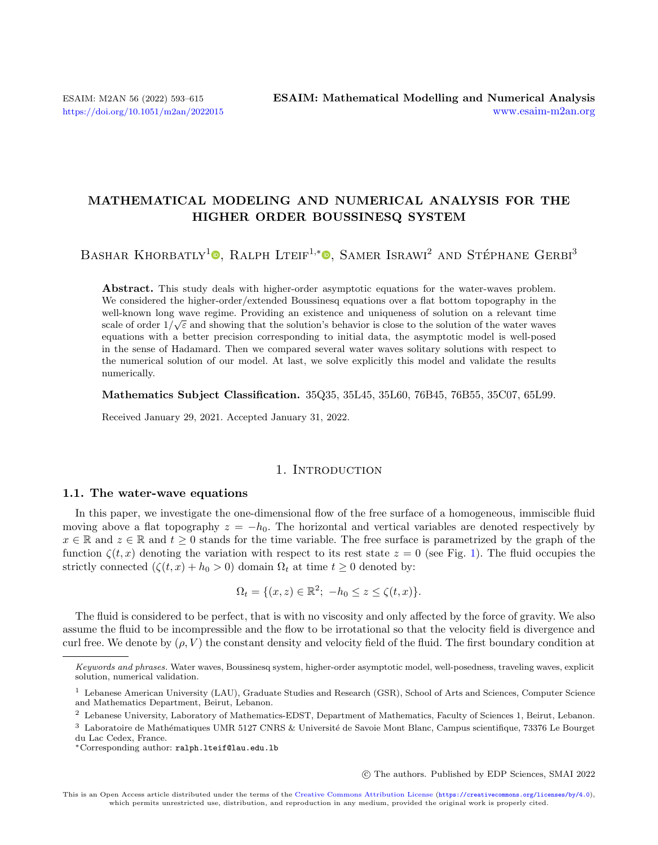## MATHEMATICAL MODELING AND NUMERICAL ANALYSIS FOR THE HIGHER ORDER BOUSSINESQ SYSTEM

BASHAR KHORBATLY<sup>1</sup><sup>®</sup>[,](https://orcid.org/0000-0001-6356-7512) RALPH LTEIF<sup>1,\*</sup><sup>®</sup>, SAMER ISRAWI<sup>2</sup> AND STÉPHANE GERBI<sup>3</sup>

Abstract. This study deals with higher-order asymptotic equations for the water-waves problem. We considered the higher-order/extended Boussinesq equations over a flat bottom topography in the well-known long wave regime. Providing an existence and uniqueness of solution on a relevant time scale of order  $1/\sqrt{\varepsilon}$  and showing that the solution's behavior is close to the solution of the water waves equations with a better precision corresponding to initial data, the asymptotic model is well-posed in the sense of Hadamard. Then we compared several water waves solitary solutions with respect to the numerical solution of our model. At last, we solve explicitly this model and validate the results numerically.

#### Mathematics Subject Classification. 35Q35, 35L45, 35L60, 76B45, 76B55, 35C07, 65L99.

Received January 29, 2021. Accepted January 31, 2022.

#### 1. INTRODUCTION

#### 1.1. The water-wave equations

In this paper, we investigate the one-dimensional flow of the free surface of a homogeneous, immiscible fluid moving above a flat topography  $z = -h_0$ . The horizontal and vertical variables are denoted respectively by  $x \in \mathbb{R}$  and  $z \in \mathbb{R}$  and  $t \geq 0$  stands for the time variable. The free surface is parametrized by the graph of the function  $\zeta(t, x)$  denoting the variation with respect to its rest state  $z = 0$  (see Fig. [1\)](#page-1-0). The fluid occupies the strictly connected  $(\zeta(t, x) + h_0 > 0)$  domain  $\Omega_t$  at time  $t \geq 0$  denoted by:

$$
\Omega_t = \{ (x, z) \in \mathbb{R}^2; \ -h_0 \le z \le \zeta(t, x) \}.
$$

The fluid is considered to be perfect, that is with no viscosity and only affected by the force of gravity. We also assume the fluid to be incompressible and the flow to be irrotational so that the velocity field is divergence and curl free. We denote by  $(\rho, V)$  the constant density and velocity field of the fluid. The first boundary condition at

○c The authors. Published by EDP Sciences, SMAI 2022

Keywords and phrases. Water waves, Boussinesq system, higher-order asymptotic model, well-posedness, traveling waves, explicit solution, numerical validation.

<sup>1</sup> Lebanese American University (LAU), Graduate Studies and Research (GSR), School of Arts and Sciences, Computer Science and Mathematics Department, Beirut, Lebanon.

<sup>2</sup> Lebanese University, Laboratory of Mathematics-EDST, Department of Mathematics, Faculty of Sciences 1, Beirut, Lebanon.

 $3$  Laboratoire de Mathématiques UMR 5127 CNRS & Université de Savoie Mont Blanc, Campus scientifique, 73376 Le Bourget du Lac Cedex, France.

<sup>\*</sup>Corresponding author: [ralph.lteif@lau.edu.lb](mailto:ralph.lteif@lau.edu.lb)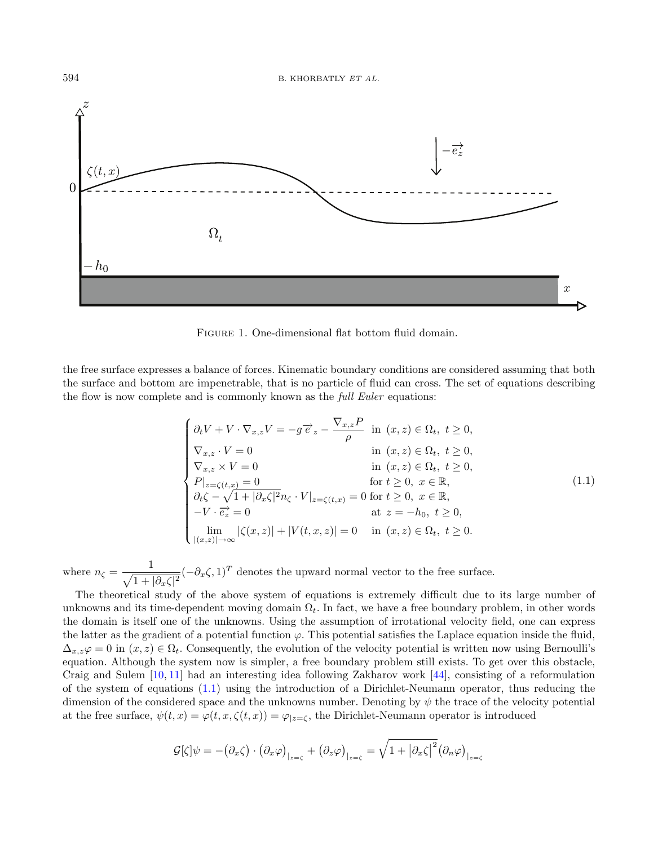

<span id="page-1-1"></span><span id="page-1-0"></span>Figure 1. One-dimensional flat bottom fluid domain.

the free surface expresses a balance of forces. Kinematic boundary conditions are considered assuming that both the surface and bottom are impenetrable, that is no particle of fluid can cross. The set of equations describing the flow is now complete and is commonly known as the *full Euler* equations:

$$
\begin{cases}\n\partial_t V + V \cdot \nabla_{x,z} V = -g \overrightarrow{e}_z - \frac{\nabla_{x,z} P}{\rho} & \text{in } (x, z) \in \Omega_t, \ t \ge 0, \\
\nabla_{x,z} \cdot V = 0 & \text{in } (x, z) \in \Omega_t, \ t \ge 0, \\
\nabla_{x,z} \times V = 0 & \text{in } (x, z) \in \Omega_t, \ t \ge 0, \\
P|_{z=\zeta(t,x)} = 0 & \text{for } t \ge 0, \ x \in \mathbb{R}, \\
\partial_t \zeta - \sqrt{1 + |\partial_x \zeta|^2} n_\zeta \cdot V|_{z=\zeta(t,x)} = 0 & \text{for } t \ge 0, \ x \in \mathbb{R}, \\
-V \cdot \overrightarrow{e_z} = 0 & \text{at } z = -h_0, \ t \ge 0, \\
\lim_{|(x,z)| \to \infty} |\zeta(x,z)| + |V(t,x,z)| = 0 & \text{in } (x,z) \in \Omega_t, \ t \ge 0.\n\end{cases}
$$
\n(1.1)

where  $n_{\zeta} = \frac{1}{\sqrt{1-\zeta}}$  $\frac{1}{\sqrt{1+|\partial_x\zeta|^2}}(-\partial_x\zeta,1)^T$  denotes the upward normal vector to the free surface.

The theoretical study of the above system of equations is extremely difficult due to its large number of unknowns and its time-dependent moving domain  $\Omega_t$ . In fact, we have a free boundary problem, in other words the domain is itself one of the unknowns. Using the assumption of irrotational velocity field, one can express the latter as the gradient of a potential function  $\varphi$ . This potential satisfies the Laplace equation inside the fluid,  $\Delta_{x,z}\varphi = 0$  in  $(x, z) \in \Omega_t$ . Consequently, the evolution of the velocity potential is written now using Bernoulli's equation. Although the system now is simpler, a free boundary problem still exists. To get over this obstacle, Craig and Sulem [\[10,](#page-21-0) [11\]](#page-21-1) had an interesting idea following Zakharov work [\[44\]](#page-22-0), consisting of a reformulation of the system of equations [\(1.1\)](#page-1-1) using the introduction of a Dirichlet-Neumann operator, thus reducing the dimension of the considered space and the unknowns number. Denoting by  $\psi$  the trace of the velocity potential at the free surface,  $\psi(t, x) = \varphi(t, x, \zeta(t, x)) = \varphi_{z=\zeta}$ , the Dirichlet-Neumann operator is introduced

$$
\mathcal{G}[\zeta]\psi = -(\partial_x \zeta) \cdot (\partial_x \varphi)_{|_{z=\zeta}} + (\partial_z \varphi)_{|_{z=\zeta}} = \sqrt{1 + |\partial_x \zeta|^2} (\partial_x \varphi)_{|_{z=\zeta}}
$$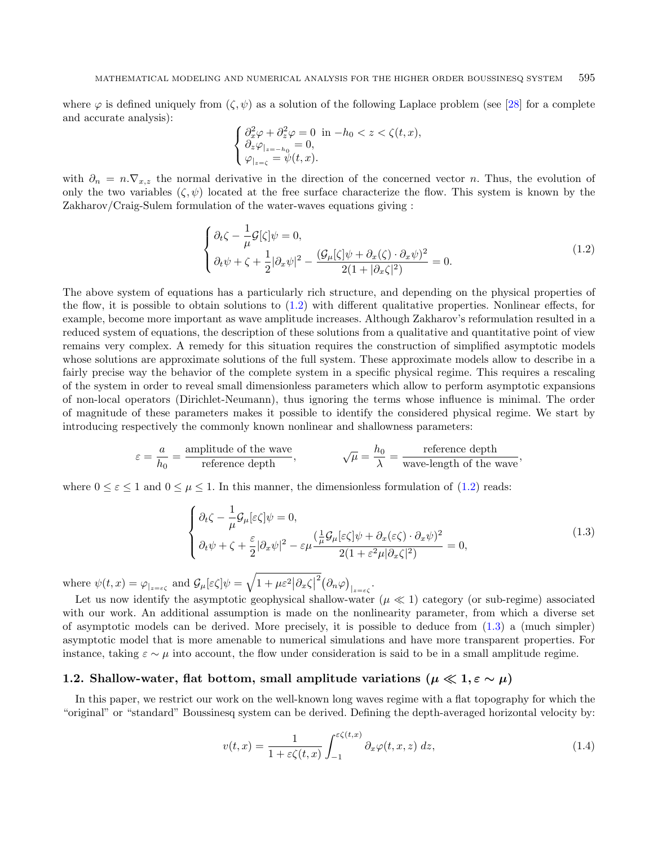where  $\varphi$  is defined uniquely from  $(\zeta, \psi)$  as a solution of the following Laplace problem (see [\[28\]](#page-22-1) for a complete and accurate analysis):

<span id="page-2-0"></span>
$$
\begin{cases} \partial_x^2 \varphi + \partial_z^2 \varphi = 0 \text{ in } -h_0 < z < \zeta(t, x), \\ \partial_z \varphi_{|z=-h_0} = 0, \\ \varphi_{|z=\zeta} = \psi(t, x). \end{cases}
$$

with  $\partial_n = n.\nabla_{x,z}$  the normal derivative in the direction of the concerned vector n. Thus, the evolution of only the two variables  $(\zeta, \psi)$  located at the free surface characterize the flow. This system is known by the Zakharov/Craig-Sulem formulation of the water-waves equations giving :

<span id="page-2-1"></span>
$$
\begin{cases} \partial_t \zeta - \frac{1}{\mu} \mathcal{G}[\zeta] \psi = 0, \\ \partial_t \psi + \zeta + \frac{1}{2} |\partial_x \psi|^2 - \frac{(\mathcal{G}_\mu[\zeta] \psi + \partial_x(\zeta) \cdot \partial_x \psi)^2}{2(1 + |\partial_x \zeta|^2)} = 0. \end{cases}
$$
(1.2)

The above system of equations has a particularly rich structure, and depending on the physical properties of the flow, it is possible to obtain solutions to  $(1.2)$  with different qualitative properties. Nonlinear effects, for example, become more important as wave amplitude increases. Although Zakharov's reformulation resulted in a reduced system of equations, the description of these solutions from a qualitative and quantitative point of view remains very complex. A remedy for this situation requires the construction of simplified asymptotic models whose solutions are approximate solutions of the full system. These approximate models allow to describe in a fairly precise way the behavior of the complete system in a specific physical regime. This requires a rescaling of the system in order to reveal small dimensionless parameters which allow to perform asymptotic expansions of non-local operators (Dirichlet-Neumann), thus ignoring the terms whose influence is minimal. The order of magnitude of these parameters makes it possible to identify the considered physical regime. We start by introducing respectively the commonly known nonlinear and shallowness parameters:

$$
\varepsilon = \frac{a}{h_0} = \frac{\text{amplitude of the wave}}{\text{reference depth}}, \qquad \sqrt{\mu} = \frac{h_0}{\lambda} = \frac{\text{reference depth}}{\text{wave-length of the wave}},
$$

where  $0 \leq \varepsilon \leq 1$  and  $0 \leq \mu \leq 1$ . In this manner, the dimensionless formulation of [\(1.2\)](#page-2-0) reads:

$$
\begin{cases} \partial_t \zeta - \frac{1}{\mu} \mathcal{G}_{\mu}[\varepsilon \zeta] \psi = 0, \\ \partial_t \psi + \zeta + \frac{\varepsilon}{2} |\partial_x \psi|^2 - \varepsilon \mu \frac{(\frac{1}{\mu} \mathcal{G}_{\mu}[\varepsilon \zeta] \psi + \partial_x(\varepsilon \zeta) \cdot \partial_x \psi)^2}{2(1 + \varepsilon^2 \mu |\partial_x \zeta|^2)} = 0, \end{cases}
$$
(1.3)

<span id="page-2-2"></span>where  $\psi(t, x) = \varphi_{|z=\varepsilon\zeta}$  and  $\mathcal{G}_{\mu}[\varepsilon\zeta]\psi = \sqrt{1 + \mu \varepsilon^2 |\partial_x \zeta|^2} (\partial_x \varphi)_{|z=\varepsilon\zeta}$ .

Let us now identify the asymptotic geophysical shallow-water ( $\mu \ll 1$ ) category (or sub-regime) associated with our work. An additional assumption is made on the nonlinearity parameter, from which a diverse set of asymptotic models can be derived. More precisely, it is possible to deduce from [\(1.3\)](#page-2-1) a (much simpler) asymptotic model that is more amenable to numerical simulations and have more transparent properties. For instance, taking  $\varepsilon \sim \mu$  into account, the flow under consideration is said to be in a small amplitude regime.

## 1.2. Shallow-water, flat bottom, small amplitude variations ( $\mu \ll 1, \varepsilon \sim \mu$ )

In this paper, we restrict our work on the well-known long waves regime with a flat topography for which the "original" or "standard" Boussinesq system can be derived. Defining the depth-averaged horizontal velocity by:

$$
v(t,x) = \frac{1}{1 + \varepsilon \zeta(t,x)} \int_{-1}^{\varepsilon \zeta(t,x)} \partial_x \varphi(t,x,z) \, dz,\tag{1.4}
$$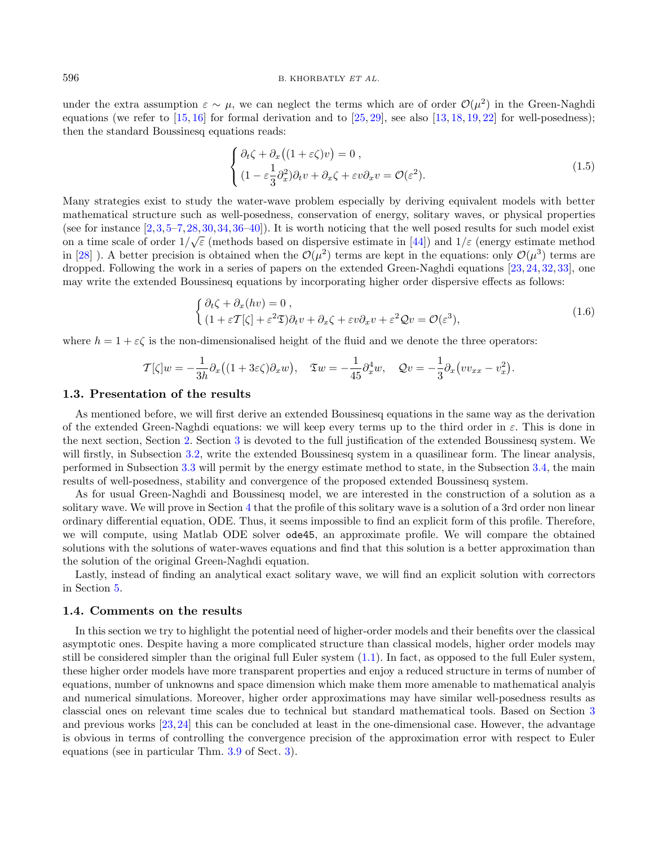#### 596 B. KHORBATLY ET AL.

under the extra assumption  $\varepsilon \sim \mu$ , we can neglect the terms which are of order  $\mathcal{O}(\mu^2)$  in the Green-Naghdi equations (we refer to  $[15, 16]$  $[15, 16]$  $[15, 16]$  for formal derivation and to  $[25, 29]$  $[25, 29]$  $[25, 29]$ , see also  $[13, 18, 19, 22]$  $[13, 18, 19, 22]$  $[13, 18, 19, 22]$  $[13, 18, 19, 22]$  $[13, 18, 19, 22]$  $[13, 18, 19, 22]$  $[13, 18, 19, 22]$  for well-posedness); then the standard Boussinesq equations reads:

$$
\begin{cases} \partial_t \zeta + \partial_x \left( (1 + \varepsilon \zeta) v \right) = 0, \\ (1 - \varepsilon \frac{1}{3} \partial_x^2) \partial_t v + \partial_x \zeta + \varepsilon v \partial_x v = \mathcal{O}(\varepsilon^2). \end{cases}
$$
\n(1.5)

Many strategies exist to study the water-wave problem especially by deriving equivalent models with better mathematical structure such as well-posedness, conservation of energy, solitary waves, or physical properties (see for instance  $[2,3,5-7,28,30,34,36-40]$  $[2,3,5-7,28,30,34,36-40]$  $[2,3,5-7,28,30,34,36-40]$  $[2,3,5-7,28,30,34,36-40]$  $[2,3,5-7,28,30,34,36-40]$  $[2,3,5-7,28,30,34,36-40]$  $[2,3,5-7,28,30,34,36-40]$  $[2,3,5-7,28,30,34,36-40]$  $[2,3,5-7,28,30,34,36-40]$ ). It is worth noticing that the well posed results for such model exist on a time scale of order  $1/\sqrt{\varepsilon}$  (methods based on dispersive estimate in [\[44\]](#page-22-0)) and  $1/\varepsilon$  (energy estimate method in [\[28\]](#page-22-1)). A better precision is obtained when the  $\mathcal{O}(\mu^2)$  terms are kept in the equations: only  $\mathcal{O}(\mu^3)$  terms are dropped. Following the work in a series of papers on the extended Green-Naghdi equations [\[23,](#page-22-9) [24,](#page-22-10) [32,](#page-22-11) [33\]](#page-22-12), one may write the extended Boussinesq equations by incorporating higher order dispersive effects as follows:

$$
\begin{cases} \partial_t \zeta + \partial_x (hv) = 0 , \\ (1 + \varepsilon T[\zeta] + \varepsilon^2 \mathfrak{D}) \partial_t v + \partial_x \zeta + \varepsilon v \partial_x v + \varepsilon^2 \mathcal{Q} v = \mathcal{O}(\varepsilon^3), \end{cases}
$$
(1.6)

where  $h = 1 + \varepsilon \zeta$  is the non-dimensionalised height of the fluid and we denote the three operators:

$$
\mathcal{T}[\zeta]w = -\frac{1}{3h}\partial_x((1+3\varepsilon\zeta)\partial_x w), \quad \mathfrak{T}w = -\frac{1}{45}\partial_x^4 w, \quad \mathcal{Q}v = -\frac{1}{3}\partial_x(vv_{xx} - v_x^2).
$$

#### 1.3. Presentation of the results

As mentioned before, we will first derive an extended Boussinesq equations in the same way as the derivation of the extended Green-Naghdi equations: we will keep every terms up to the third order in  $\varepsilon$ . This is done in the next section, Section [2.](#page-4-0) Section [3](#page-6-0) is devoted to the full justification of the extended Boussinesq system. We will firstly, in Subsection [3.2,](#page-7-0) write the extended Boussinesq system in a quasilinear form. The linear analysis, performed in Subsection [3.3](#page-7-1) will permit by the energy estimate method to state, in the Subsection [3.4,](#page-13-0) the main results of well-posedness, stability and convergence of the proposed extended Boussinesq system.

As for usual Green-Naghdi and Boussinesq model, we are interested in the construction of a solution as a solitary wave. We will prove in Section [4](#page-14-0) that the profile of this solitary wave is a solution of a 3rd order non linear ordinary differential equation, ODE. Thus, it seems impossible to find an explicit form of this profile. Therefore, we will compute, using Matlab ODE solver ode45, an approximate profile. We will compare the obtained solutions with the solutions of water-waves equations and find that this solution is a better approximation than the solution of the original Green-Naghdi equation.

Lastly, instead of finding an analytical exact solitary wave, we will find an explicit solution with correctors in Section [5.](#page-17-0)

#### 1.4. Comments on the results

In this section we try to highlight the potential need of higher-order models and their benefits over the classical asymptotic ones. Despite having a more complicated structure than classical models, higher order models may still be considered simpler than the original full Euler system [\(1.1\)](#page-1-1). In fact, as opposed to the full Euler system, these higher order models have more transparent properties and enjoy a reduced structure in terms of number of equations, number of unknowns and space dimension which make them more amenable to mathematical analyis and numerical simulations. Moreover, higher order approximations may have similar well-posedness results as classcial ones on relevant time scales due to technical but standard mathematical tools. Based on Section [3](#page-6-0) and previous works [\[23,](#page-22-9)[24\]](#page-22-10) this can be concluded at least in the one-dimensional case. However, the advantage is obvious in terms of controlling the convergence precision of the approximation error with respect to Euler equations (see in particular Thm. [3.9](#page-14-1) of Sect. [3\)](#page-6-0).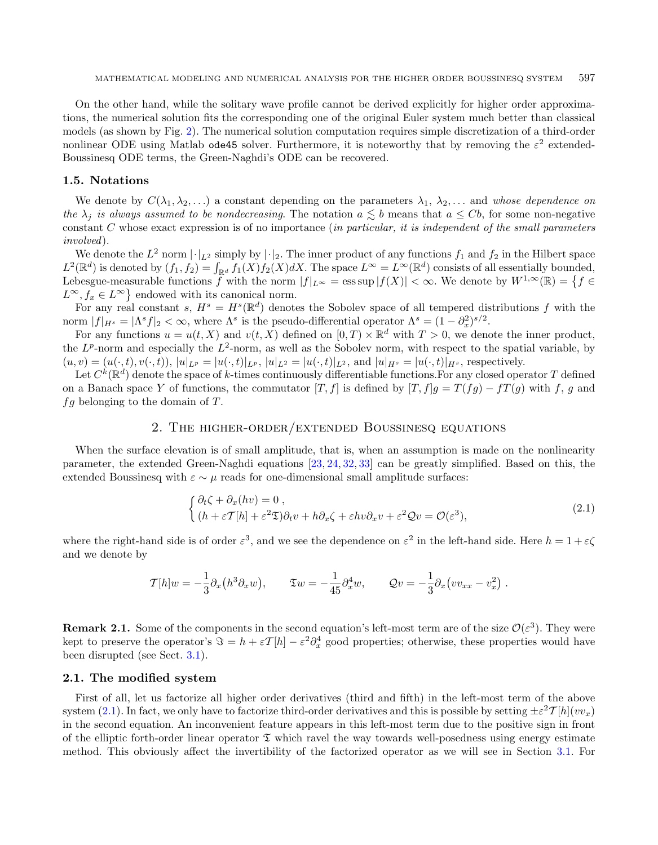On the other hand, while the solitary wave profile cannot be derived explicitly for higher order approximations, the numerical solution fits the corresponding one of the original Euler system much better than classical models (as shown by Fig. [2\)](#page-16-0). The numerical solution computation requires simple discretization of a third-order nonlinear ODE using Matlab ode45 solver. Furthermore, it is noteworthy that by removing the  $\varepsilon^2$  extended-Boussinesq ODE terms, the Green-Naghdi's ODE can be recovered.

#### 1.5. Notations

We denote by  $C(\lambda_1, \lambda_2, \ldots)$  a constant depending on the parameters  $\lambda_1, \lambda_2, \ldots$  and whose dependence on the  $\lambda_i$  is always assumed to be nondecreasing. The notation  $a \leq b$  means that  $a \leq Cb$ , for some non-negative constant  $C$  whose exact expression is of no importance (in particular, it is independent of the small parameters involved).

We denote the  $L^2$  norm  $|\cdot|_{L^2}$  simply by  $|\cdot|_2$ . The inner product of any functions  $f_1$  and  $f_2$  in the Hilbert space  $L^2(\mathbb{R}^d)$  is denoted by  $(f_1, f_2) = \int_{\mathbb{R}^d} f_1(X) f_2(X) dX$ . The space  $L^{\infty} = L^{\infty}(\mathbb{R}^d)$  consists of all essentially bounded, Lebesgue-measurable functions  $\hat{f}$  with the norm  $|f|_{L^{\infty}} = \operatorname{ess} \sup |f(X)| < \infty$ . We denote by  $W^{1,\infty}(\mathbb{R}) = \{f \in$  $L^{\infty}, f_x \in L^{\infty}$  endowed with its canonical norm.

For any real constant s,  $H^s = H^s(\mathbb{R}^d)$  denotes the Sobolev space of all tempered distributions f with the norm  $|f|_{H^s} = |\Lambda^s f|_2 < \infty$ , where  $\Lambda^s$  is the pseudo-differential operator  $\Lambda^s = (1 - \partial_x^2)^{s/2}$ .

For any functions  $u = u(t, X)$  and  $v(t, X)$  defined on  $[0, T) \times \mathbb{R}^d$  with  $T > 0$ , we denote the inner product, the  $L^p$ -norm and especially the  $L^2$ -norm, as well as the Sobolev norm, with respect to the spatial variable, by  $(u, v) = (u(\cdot, t), v(\cdot, t)), |u|_{L^p} = |u(\cdot, t)|_{L^p}, |u|_{L^2} = |u(\cdot, t)|_{L^2}, \text{ and } |u|_{H^s} = |u(\cdot, t)|_{H^s}, \text{ respectively.}$ 

Let  $C^k(\mathbb{R}^d)$  denote the space of k-times continuously differentiable functions. For any closed operator T defined on a Banach space Y of functions, the commutator [T, f] is defined by  $[T, f]$  =  $T(fg) - fT(g)$  with f, g and  $fg$  belonging to the domain of  $T$ .

## 2. The higher-order/extended Boussinesq equations

<span id="page-4-0"></span>When the surface elevation is of small amplitude, that is, when an assumption is made on the nonlinearity parameter, the extended Green-Naghdi equations [\[23,](#page-22-9) [24,](#page-22-10) [32,](#page-22-11) [33\]](#page-22-12) can be greatly simplified. Based on this, the extended Boussinesq with  $\varepsilon \sim \mu$  reads for one-dimensional small amplitude surfaces:

<span id="page-4-1"></span>
$$
\begin{cases} \partial_t \zeta + \partial_x (hv) = 0 , \\ (h + \varepsilon T[h] + \varepsilon^2 \mathfrak{D}) \partial_t v + h \partial_x \zeta + \varepsilon hv \partial_x v + \varepsilon^2 \mathcal{Q} v = \mathcal{O}(\varepsilon^3), \end{cases} \tag{2.1}
$$

where the right-hand side is of order  $\varepsilon^3$ , and we see the dependence on  $\varepsilon^2$  in the left-hand side. Here  $h = 1 + \varepsilon \zeta$ and we denote by

$$
\mathcal{T}[h]w = -\frac{1}{3}\partial_x(h^3\partial_x w), \qquad \mathfrak{T}w = -\frac{1}{45}\partial_x^4 w, \qquad \mathcal{Q}v = -\frac{1}{3}\partial_x(vv_{xx} - v_x^2) .
$$

**Remark 2.1.** Some of the components in the second equation's left-most term are of the size  $\mathcal{O}(\varepsilon^3)$ . They were kept to preserve the operator's  $\Im = h + \varepsilon T[h] - \varepsilon^2 \partial_x^4$  good properties; otherwise, these properties would have been disrupted (see Sect. [3.1\)](#page-6-1).

#### 2.1. The modified system

First of all, let us factorize all higher order derivatives (third and fifth) in the left-most term of the above system [\(2.1\)](#page-4-1). In fact, we only have to factorize third-order derivatives and this is possible by setting  $\pm \varepsilon^2 \mathcal{T}[h](vv_x)$ in the second equation. An inconvenient feature appears in this left-most term due to the positive sign in front of the elliptic forth-order linear operator  $\mathfrak T$  which ravel the way towards well-posedness using energy estimate method. This obviously affect the invertibility of the factorized operator as we will see in Section [3.1.](#page-6-1) For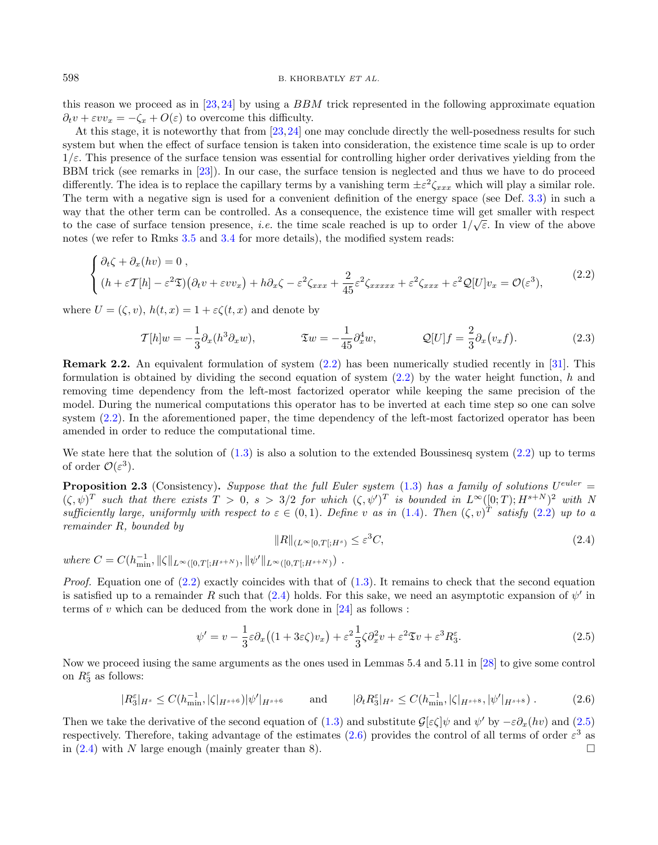<span id="page-5-0"></span>this reason we proceed as in [\[23,](#page-22-9) [24\]](#page-22-10) by using a  $BBM$  trick represented in the following approximate equation  $\partial_t v + \varepsilon v v_x = -\zeta_x + O(\varepsilon)$  to overcome this difficulty.

At this stage, it is noteworthy that from [\[23,](#page-22-9)[24\]](#page-22-10) one may conclude directly the well-posedness results for such system but when the effect of surface tension is taken into consideration, the existence time scale is up to order  $1/\varepsilon$ . This presence of the surface tension was essential for controlling higher order derivatives yielding from the BBM trick (see remarks in [\[23\]](#page-22-9)). In our case, the surface tension is neglected and thus we have to do proceed differently. The idea is to replace the capillary terms by a vanishing term  $\pm \varepsilon^2 \zeta_{xxx}$  which will play a similar role. The term with a negative sign is used for a convenient definition of the energy space (see Def. [3.3\)](#page-7-2) in such a way that the other term can be controlled. As a consequence, the existence time will get smaller with respect to the case of surface tension presence, *i.e.* the time scale reached is up to order  $1/\sqrt{\epsilon}$ . In view of the above notes (we refer to Rmks [3.5](#page-7-3) and [3.4](#page-7-4) for more details), the modified system reads:

$$
\begin{cases} \partial_t \zeta + \partial_x (hv) = 0 ,\\ (h + \varepsilon \mathcal{T}[h] - \varepsilon^2 \mathfrak{T}) (\partial_t v + \varepsilon v v_x) + h \partial_x \zeta - \varepsilon^2 \zeta_{xxx} + \frac{2}{45} \varepsilon^2 \zeta_{xxxxx} + \varepsilon^2 \zeta_{xxx} + \varepsilon^2 \mathcal{Q}[U] v_x = \mathcal{O}(\varepsilon^3), \end{cases} (2.2)
$$

where  $U = (\zeta, v), h(t, x) = 1 + \varepsilon \zeta(t, x)$  and denote by

<span id="page-5-4"></span><span id="page-5-1"></span>
$$
\mathcal{T}[h]w = -\frac{1}{3}\partial_x(h^3\partial_x w), \qquad \mathfrak{X}w = -\frac{1}{45}\partial_x^4 w, \qquad Q[U]f = \frac{2}{3}\partial_x(v_x f). \qquad (2.3)
$$

Remark 2.2. An equivalent formulation of system [\(2.2\)](#page-5-0) has been numerically studied recently in [\[31\]](#page-22-13). This formulation is obtained by dividing the second equation of system  $(2.2)$  by the water height function,  $h$  and removing time dependency from the left-most factorized operator while keeping the same precision of the model. During the numerical computations this operator has to be inverted at each time step so one can solve system  $(2.2)$ . In the aforementioned paper, the time dependency of the left-most factorized operator has been amended in order to reduce the computational time.

We state here that the solution of  $(1.3)$  is also a solution to the extended Boussinesq system  $(2.2)$  up to terms of order  $\mathcal{O}(\varepsilon^3)$ .

<span id="page-5-3"></span>**Proposition 2.3** (Consistency). Suppose that the full Euler system  $(1.3)$  has a family of solutions  $U^{euler} =$  $(\zeta, \psi)^T$  such that there exists  $T > 0$ ,  $s > 3/2$  for which  $(\zeta, \psi')^T$  is bounded in  $L^{\infty}([0;T); H^{s+N})^2$  with N sufficiently large, uniformly with respect to  $\varepsilon \in (0,1)$ . Define v as in  $(1.4)$ . Then  $(\zeta, v)^T$  satisfy  $(2.2)$  up to a remainder  $R$ , bounded by

<span id="page-5-2"></span>
$$
||R||_{(L^{\infty}[0,T];H^s)} \leq \varepsilon^3 C,\tag{2.4}
$$

where  $C = C(h_{\min}^{-1}, \|\zeta\|_{L^{\infty}([0,T[;H^{s+N})}, \|\psi'\|_{L^{\infty}([0,T[;H^{s+N})})$ .

*Proof.* Equation one of  $(2.2)$  exactly coincides with that of  $(1.3)$ . It remains to check that the second equation is satisfied up to a remainder R such that  $(2.4)$  holds. For this sake, we need an asymptotic expansion of  $\psi'$  in terms of  $v$  which can be deduced from the work done in [\[24\]](#page-22-10) as follows :

$$
\psi' = v - \frac{1}{3}\varepsilon \partial_x \left( (1 + 3\varepsilon \zeta) v_x \right) + \varepsilon^2 \frac{1}{3} \zeta \partial_x^2 v + \varepsilon^2 \mathfrak{T} v + \varepsilon^3 R_3^\varepsilon. \tag{2.5}
$$

Now we proceed iusing the same arguments as the ones used in Lemmas 5.4 and 5.11 in [\[28\]](#page-22-1) to give some control on  $R_3^{\varepsilon}$  as follows:

$$
|R_3^{\varepsilon}|_{H^s} \le C(h_{\min}^{-1}, |\zeta|_{H^{s+6}}) |\psi'|_{H^{s+6}} \qquad \text{and} \qquad |\partial_t R_3^{\varepsilon}|_{H^s} \le C(h_{\min}^{-1}, |\zeta|_{H^{s+8}}, |\psi'|_{H^{s+8}}) \,. \tag{2.6}
$$

Then we take the derivative of the second equation of [\(1.3\)](#page-2-1) and substitute  $\mathcal{G}[\epsilon \zeta] \psi$  and  $\psi'$  by  $-\epsilon \partial_x(hv)$  and [\(2.5\)](#page-5-2) respectively. Therefore, taking advantage of the estimates  $(2.6)$  provides the control of all terms of order  $\varepsilon^3$  as in [\(2.4\)](#page-5-1) with N large enough (mainly greater than 8).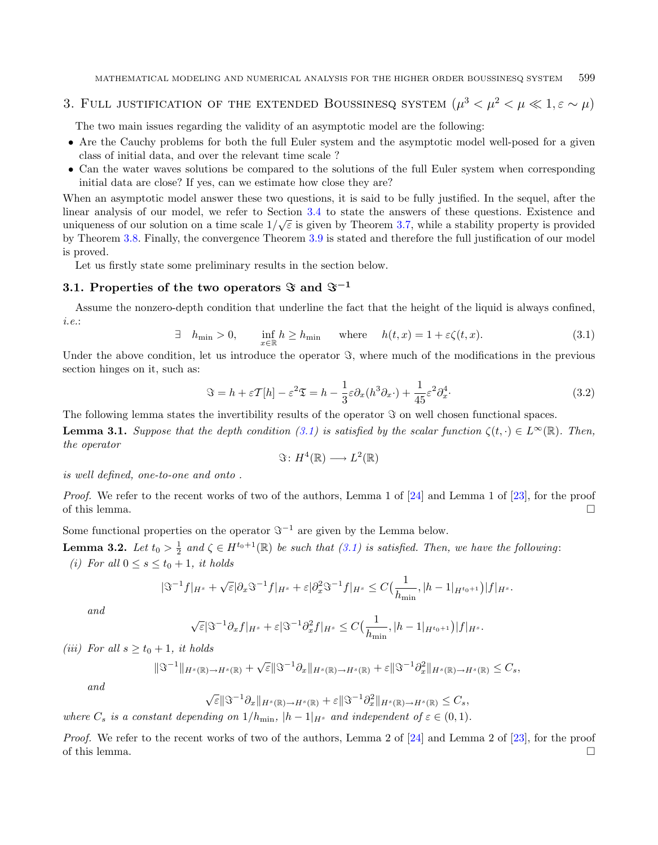## <span id="page-6-0"></span>3. FULL JUSTIFICATION OF THE EXTENDED BOUSSINESQ SYSTEM  $(\mu^3 < \mu^2 < \mu \ll 1, \varepsilon \sim \mu)$

The two main issues regarding the validity of an asymptotic model are the following:

- ∙ Are the Cauchy problems for both the full Euler system and the asymptotic model well-posed for a given class of initial data, and over the relevant time scale ?
- <span id="page-6-2"></span>∙ Can the water waves solutions be compared to the solutions of the full Euler system when corresponding initial data are close? If yes, can we estimate how close they are?

When an asymptotic model answer these two questions, it is said to be fully justified. In the sequel, after the linear analysis of our model, we refer to Section [3.4](#page-13-0) to state the answers of these questions. Existence and uniqueness of our solution on a time scale  $1/\sqrt{\varepsilon}$  is given by Theorem [3.7,](#page-13-1) while a stability property is provided by Theorem [3.8.](#page-13-2) Finally, the convergence Theorem [3.9](#page-14-1) is stated and therefore the full justification of our model is proved.

Let us firstly state some preliminary results in the section below.

## <span id="page-6-1"></span>3.1. Properties of the two operators  $\Im$  and  $\Im^{-1}$

Assume the nonzero-depth condition that underline the fact that the height of the liquid is always confined, i.e.:

$$
\exists h_{\min} > 0, \quad \inf_{x \in \mathbb{R}} h \ge h_{\min} \quad \text{where} \quad h(t, x) = 1 + \varepsilon \zeta(t, x). \tag{3.1}
$$

Under the above condition, let us introduce the operator  $\Im$ , where much of the modifications in the previous section hinges on it, such as:

$$
\Im = h + \varepsilon \mathcal{T}[h] - \varepsilon^2 \mathfrak{T} = h - \frac{1}{3} \varepsilon \partial_x (h^3 \partial_x \cdot) + \frac{1}{45} \varepsilon^2 \partial_x^4.
$$
 (3.2)

The following lemma states the invertibility results of the operator  $\Im$  on well chosen functional spaces.

**Lemma 3.1.** Suppose that the depth condition [\(3.1\)](#page-6-2) is satisfied by the scalar function  $\zeta(t, \cdot) \in L^{\infty}(\mathbb{R})$ . Then, the operator

<span id="page-6-3"></span>
$$
\Im\colon H^4(\mathbb{R})\longrightarrow L^2(\mathbb{R})
$$

is well defined, one-to-one and onto .

Proof. We refer to the recent works of two of the authors, Lemma 1 of [\[24\]](#page-22-10) and Lemma 1 of [\[23\]](#page-22-9), for the proof of this lemma.  $\Box$ 

Some functional properties on the operator  $\Im^{-1}$  are given by the Lemma below.

**Lemma 3.2.** Let  $t_0 > \frac{1}{2}$  and  $\zeta \in H^{t_0+1}(\mathbb{R})$  be such that  $(3.1)$  is satisfied. Then, we have the following: (i) For all  $0 < \alpha < t_+ + 1$ , it holds

$$
(i) \ \text{for all } 0 \le s \le t_0 + 1, \text{ it holds}
$$

$$
|\Im^{-1}f|_{H^s} + \sqrt{\varepsilon}|\partial_x \Im^{-1}f|_{H^s} + \varepsilon |\partial_x^2 \Im^{-1}f|_{H^s} \leq C\left(\frac{1}{h_{\min}}, |h-1|_{H^{t_0+1}}\right)|f|_{H^s}.
$$

and

$$
\sqrt{\varepsilon}|\Im^{-1}\partial_x f|_{H^s} + \varepsilon|\Im^{-1}\partial_x^2 f|_{H^s} \leq C\Big(\frac{1}{h_{\min}},|h-1|_{H^{t_0+1}}\Big)|f|_{H^s}.
$$

(iii) For all  $s \ge t_0 + 1$ , it holds

$$
\|\Im^{-1}\|_{H^s(\mathbb{R})\to H^s(\mathbb{R})}+\sqrt{\varepsilon}\|\Im^{-1}\partial_x\|_{H^s(\mathbb{R})\to H^s(\mathbb{R})}+\varepsilon\|\Im^{-1}\partial_x^2\|_{H^s(\mathbb{R})\to H^s(\mathbb{R})}\leq C_s,
$$

and

$$
\sqrt{\varepsilon} \|\Im^{-1}\partial_x\|_{H^s(\mathbb{R})\to H^s(\mathbb{R})} + \varepsilon \|\Im^{-1}\partial_x^2\|_{H^s(\mathbb{R})\to H^s(\mathbb{R})} \leq C_s,
$$

where  $C_s$  is a constant depending on  $1/h_{\text{min}}$ ,  $|h-1|_{H^s}$  and independent of  $\varepsilon \in (0,1)$ .

Proof. We refer to the recent works of two of the authors, Lemma 2 of [\[24\]](#page-22-10) and Lemma 2 of [\[23\]](#page-22-9), for the proof of this lemma.  $\Box$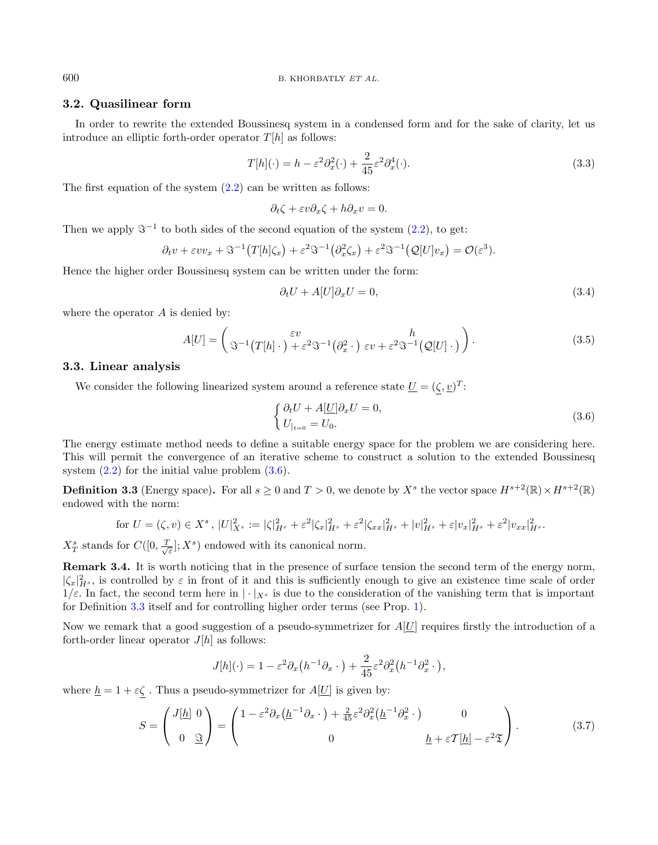#### <span id="page-7-0"></span>3.2. Quasilinear form

In order to rewrite the extended Boussinesq system in a condensed form and for the sake of clarity, let us introduce an elliptic forth-order operator  $T[h]$  as follows:

<span id="page-7-6"></span>
$$
T[h](\cdot) = h - \varepsilon^2 \partial_x^2(\cdot) + \frac{2}{45} \varepsilon^2 \partial_x^4(\cdot). \tag{3.3}
$$

The first equation of the system  $(2.2)$  can be written as follows:

$$
\partial_t \zeta + \varepsilon v \partial_x \zeta + h \partial_x v = 0.
$$

Then we apply  $\mathfrak{S}^{-1}$  to both sides of the second equation of the system  $(2.2)$ , to get:

$$
\partial_t v + \varepsilon v v_x + \mathfrak{S}^{-1}(T[h]\zeta_x) + \varepsilon^2 \mathfrak{S}^{-1}(\partial_x^2 \zeta_x) + \varepsilon^2 \mathfrak{S}^{-1}(Q[U]v_x) = \mathcal{O}(\varepsilon^3).
$$

Hence the higher order Boussinesq system can be written under the form:

<span id="page-7-5"></span>
$$
\partial_t U + A[U] \partial_x U = 0,\tag{3.4}
$$

where the operator  $A$  is denied by:

$$
A[U] = \begin{pmatrix} \varepsilon v & h \\ \Im^{-1}(T[h] \cdot)^{\beta + \varepsilon^2} \Im^{-1}(\partial_x^2 \cdot) & \varepsilon v + \varepsilon^2 \Im^{-1}(Q[U] \cdot) \end{pmatrix}.
$$
 (3.5)

#### <span id="page-7-1"></span>3.3. Linear analysis

We consider the following linearized system around a reference state  $\underline{U} = (\zeta, \underline{v})^T$ :

<span id="page-7-7"></span>
$$
\begin{cases} \partial_t U + A[\underline{U}]\partial_x U = 0, \\ U_{|_{t=0}} = U_0. \end{cases} \tag{3.6}
$$

The energy estimate method needs to define a suitable energy space for the problem we are considering here. This will permit the convergence of an iterative scheme to construct a solution to the extended Boussinesq system  $(2.2)$  for the initial value problem  $(3.6)$ .

<span id="page-7-2"></span>**Definition 3.3** (Energy space). For all  $s \geq 0$  and  $T > 0$ , we denote by  $X^s$  the vector space  $H^{s+2}(\mathbb{R}) \times H^{s+2}(\mathbb{R})$ endowed with the norm:

for 
$$
U = (\zeta, v) \in X^s
$$
,  $|U|_{X^s}^2 := |\zeta|_{H^s}^2 + \varepsilon^2 |\zeta_x|_{H^s}^2 + \varepsilon^2 |\zeta_{xx}|_{H^s}^2 + |v|_{H^s}^2 + \varepsilon |v_x|_{H^s}^2 + \varepsilon^2 |v_{xx}|_{H^s}^2$ .

 $X_T^s$  stands for  $C([0, \frac{T}{\sqrt{\varepsilon}}]; X^s)$  endowed with its canonical norm.

<span id="page-7-4"></span><span id="page-7-3"></span>Remark 3.4. It is worth noticing that in the presence of surface tension the second term of the energy norm,  $|\zeta_x|^2_{H^s}$ , is controlled by  $\varepsilon$  in front of it and this is sufficiently enough to give an existence time scale of order  $1/\varepsilon$ . In fact, the second term here in  $|\cdot|_{X^s}$  is due to the consideration of the vanishing term that is important for Definition [3.3](#page-7-2) itself and for controlling higher order terms (see Prop. [1\)](#page-8-0).

Now we remark that a good suggestion of a pseudo-symmetrizer for  $A[\underline{U}]$  requires firstly the introduction of a forth-order linear operator  $J[h]$  as follows:

$$
J[h](\cdot) = 1 - \varepsilon^2 \partial_x \left( h^{-1} \partial_x \cdot \right) + \frac{2}{45} \varepsilon^2 \partial_x^2 \left( h^{-1} \partial_x^2 \cdot \right),
$$

where  $\underline{h} = 1 + \varepsilon \zeta$ . Thus a pseudo-symmetrizer for  $A[\underline{U}]$  is given by:

$$
S = \begin{pmatrix} J[\underline{h}] & 0 \\ 0 & \underline{\Im} \end{pmatrix} = \begin{pmatrix} 1 - \varepsilon^2 \partial_x (\underline{h}^{-1} \partial_x \cdot) + \frac{2}{45} \varepsilon^2 \partial_x^2 (\underline{h}^{-1} \partial_x^2 \cdot) & 0 \\ 0 & \underline{h} + \varepsilon \mathcal{T}[\underline{h}] - \varepsilon^2 \mathfrak{T} \end{pmatrix}.
$$
(3.7)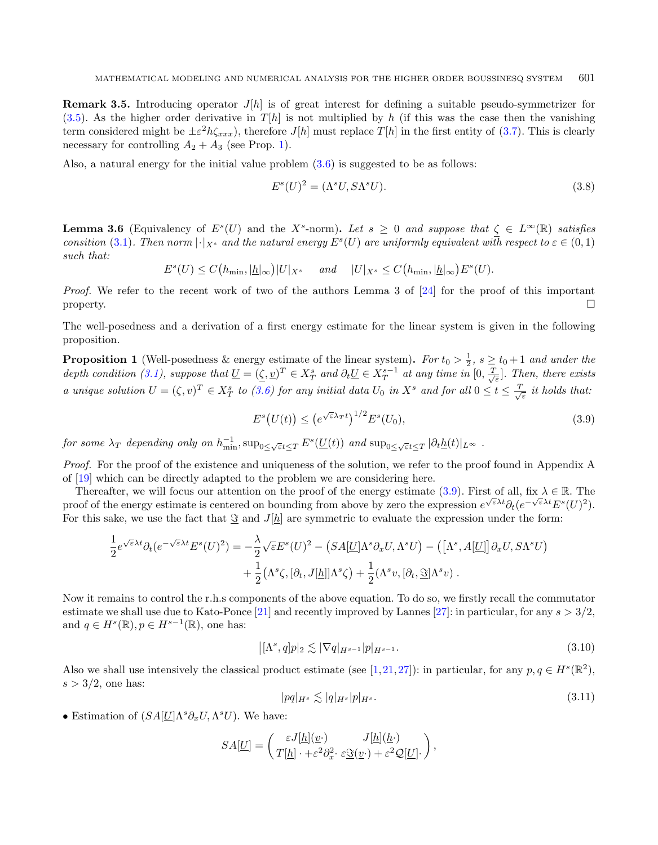**Remark 3.5.** Introducing operator  $J[h]$  is of great interest for defining a suitable pseudo-symmetrizer for [\(3.5\)](#page-7-6). As the higher order derivative in  $T[h]$  is not multiplied by h (if this was the case then the vanishing term considered might be  $\pm \varepsilon^2 h \zeta_{xxx}$ , therefore  $J[h]$  must replace  $T[h]$  in the first entity of [\(3.7\)](#page-7-7). This is clearly necessary for controlling  $A_2 + A_3$  (see Prop. [1\)](#page-8-0).

<span id="page-8-0"></span>Also, a natural energy for the initial value problem  $(3.6)$  is suggested to be as follows:

<span id="page-8-1"></span>
$$
E^s(U)^2 = (\Lambda^s U, S\Lambda^s U). \tag{3.8}
$$

**Lemma 3.6** (Equivalency of  $E^s(U)$  and the X<sup>s</sup>-norm). Let  $s \geq 0$  and suppose that  $\zeta \in L^{\infty}(\mathbb{R})$  satisfies consition [\(3.1\)](#page-6-2). Then norm  $|\cdot|_{X^s}$  and the natural energy  $E^s(U)$  are uniformly equivalent with respect to  $\varepsilon \in (0,1)$ such that:

$$
E^{s}(U) \leq C\big(h_{\min}, |\underline{h}|_{\infty}\big)|U|_{X^{s}} \quad \text{and} \quad |U|_{X^{s}} \leq C\big(h_{\min}, |\underline{h}|_{\infty}\big)E^{s}(U).
$$

Proof. We refer to the recent work of two of the authors Lemma 3 of [\[24\]](#page-22-10) for the proof of this important property.

The well-posedness and a derivation of a first energy estimate for the linear system is given in the following proposition.

**Proposition 1** (Well-posedness & energy estimate of the linear system). For  $t_0 > \frac{1}{2}$ ,  $s \ge t_0 + 1$  and under the depth condition [\(3.1\)](#page-6-2), suppose that  $\underline{U} = (\underline{\zeta}, \underline{v})^T \in X_T^s$  and  $\partial_t \underline{U} \in X_T^{s-1}$  at any time in  $[0, \frac{T}{\sqrt{\varepsilon}}]$ . Then, there exists a unique solution  $U = (\zeta, v)^T \in X_T^s$  to [\(3.6\)](#page-7-5) for any initial data  $U_0$  in  $X^s$  and for all  $0 \le t \le \frac{T}{\sqrt{\varepsilon}}$  it holds that:

<span id="page-8-2"></span>
$$
E^s(U(t)) \le (e^{\sqrt{\varepsilon}\lambda_T t})^{1/2} E^s(U_0), \tag{3.9}
$$

for some  $\lambda_T$  depending only on  $h_{\min}^{-1}$ ,  $\sup_{0 \leq \sqrt{\varepsilon}t \leq T} E^s(\underline{U}(t))$  and  $\sup_{0 \leq \sqrt{\varepsilon}t \leq T} |\partial_t \underline{h}(t)|_{L^\infty}$ .

Proof. For the proof of the existence and uniqueness of the solution, we refer to the proof found in Appendix A of [\[19\]](#page-21-6) which can be directly adapted to the problem we are considering here.

Thereafter, we will focus our attention on the proof of the energy estimate [\(3.9\)](#page-8-1). First of all, fix  $\lambda \in \mathbb{R}$ . The proof of the energy estimate is centered on bounding from above by zero the expression  $e^{\sqrt{\varepsilon}\lambda t}\partial_t(e^{-\sqrt{\varepsilon}\lambda t}E^s(U)^2)$ . For this sake, we use the fact that  $\Im$  and  $J[h]$  are symmetric to evaluate the expression under the form:

$$
\frac{1}{2}e^{\sqrt{\varepsilon}\lambda t}\partial_t(e^{-\sqrt{\varepsilon}\lambda t}E^s(U)^2) = -\frac{\lambda}{2}\sqrt{\varepsilon}E^s(U)^2 - \left(SA[\underline{U}]\Lambda^s\partial_x U, \Lambda^s U\right) - \left(\left[\Lambda^s, A[\underline{U}]\right]\partial_x U, S\Lambda^s U\right) \n+ \frac{1}{2}\left(\Lambda^s\zeta, [\partial_t, J[\underline{h}]]\Lambda^s\zeta\right) + \frac{1}{2}(\Lambda^s v, [\partial_t, \underline{\Im}]\Lambda^s v) .
$$

Now it remains to control the r.h.s components of the above equation. To do so, we firstly recall the commutator estimate we shall use due to Kato-Ponce [\[21\]](#page-22-14) and recently improved by Lannes [\[27\]](#page-22-15): in particular, for any  $s > 3/2$ , and  $q \in H^s(\mathbb{R}), p \in H^{s-1}(\mathbb{R})$ , one has:

$$
|[\Lambda^s, q]p|_2 \lesssim |\nabla q|_{H^{s-1}}|p|_{H^{s-1}}.\tag{3.10}
$$

Also we shall use intensively the classical product estimate (see [\[1,](#page-21-11)[21,](#page-22-14)[27\]](#page-22-15)): in particular, for any  $p, q \in H^s(\mathbb{R}^2)$ ,  $s > 3/2$ , one has:

$$
|pq|_{H^s} \lesssim |q|_{H^s}|p|_{H^s}.\tag{3.11}
$$

• Estimation of  $(SA[\underline{U}]\Lambda^s\partial_xU,\Lambda^sU)$ . We have:

$$
SA[\underline{U}] = \begin{pmatrix} \varepsilon J[\underline{h}](\underline{v}) & J[\underline{h}](\underline{h}) \\ T[\underline{h}] \cdot + \varepsilon^2 \partial_x^2 \cdot \varepsilon \underline{\Im}(\underline{v}) + \varepsilon^2 \mathcal{Q}[\underline{U}] \cdot \end{pmatrix},
$$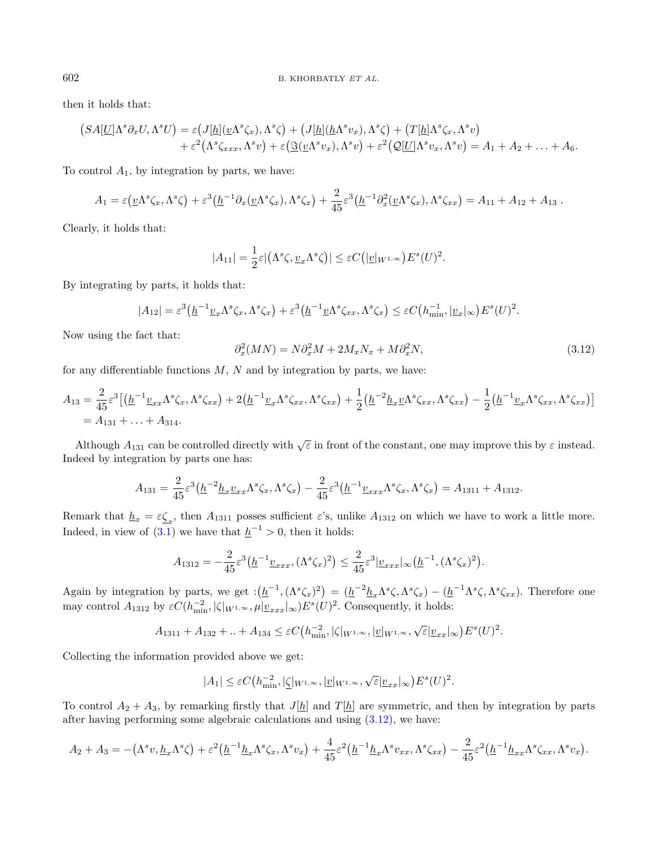then it holds that:

$$
(SA[\underline{U}]\Lambda^s \partial_x U, \Lambda^s U) = \varepsilon \big( J[\underline{h}](\underline{v}\Lambda^s \zeta_x), \Lambda^s \zeta \big) + \big( J[\underline{h}](\underline{h}\Lambda^s v_x), \Lambda^s \zeta \big) + \big( T[\underline{h}]\Lambda^s \zeta_x, \Lambda^s v \big) + \varepsilon^2 \big( \Lambda^s \zeta_{xxx}, \Lambda^s v \big) + \varepsilon \big( \underline{\Im}(\underline{v}\Lambda^s v_x), \Lambda^s v \big) + \varepsilon^2 \big( \underline{Q}[\underline{U}]\Lambda^s v_x, \Lambda^s v \big) = A_1 + A_2 + \ldots + A_6.
$$

To control  $A_1$ , by integration by parts, we have:

$$
A_1 = \varepsilon (\underline{v}\Lambda^s \zeta_x, \Lambda^s \zeta) + \varepsilon^3 (\underline{h}^{-1} \partial_x (\underline{v}\Lambda^s \zeta_x), \Lambda^s \zeta_x) + \frac{2}{45} \varepsilon^3 (\underline{h}^{-1} \partial_x^2 (\underline{v}\Lambda^s \zeta_x), \Lambda^s \zeta_{xx}) = A_{11} + A_{12} + A_{13}.
$$

Clearly, it holds that:

<span id="page-9-0"></span>
$$
|A_{11}| = \frac{1}{2}\varepsilon |(\Lambda^s \zeta, \underline{v}_x \Lambda^s \zeta)| \leq \varepsilon C (|\underline{v}|_{W^{1,\infty}}) E^s(U)^2.
$$

By integrating by parts, it holds that:

$$
|A_{12}| = \varepsilon^3 \left( \underline{h}^{-1} \underline{v}_x \Lambda^s \zeta_x, \Lambda^s \zeta_x \right) + \varepsilon^3 \left( \underline{h}^{-1} \underline{v} \Lambda^s \zeta_{xx}, \Lambda^s \zeta_x \right) \leq \varepsilon C \left( h_{\min}^{-1}, |\underline{v}_x|_{\infty} \right) E^s(U)^2.
$$

Now using the fact that:

$$
\partial_x^2(MN) = N\partial_x^2 M + 2M_x N_x + M\partial_x^2 N,\tag{3.12}
$$

for any differentiable functions  $M$ ,  $N$  and by integration by parts, we have:

$$
A_{13} = \frac{2}{45} \varepsilon^3 \left[ \left( \underline{h}^{-1} \underline{v}_{xx} \Lambda^s \zeta_x, \Lambda^s \zeta_{xx} \right) + 2 \left( \underline{h}^{-1} \underline{v}_x \Lambda^s \zeta_{xx}, \Lambda^s \zeta_{xx} \right) + \frac{1}{2} \left( \underline{h}^{-2} \underline{h}_x \underline{v} \Lambda^s \zeta_{xx}, \Lambda^s \zeta_{xx} \right) - \frac{1}{2} \left( \underline{h}^{-1} \underline{v}_x \Lambda^s \zeta_{xx}, \Lambda^s \zeta_{xx} \right) \right]
$$
  
=  $A_{131} + \dots + A_{314}.$ 

Although  $A_{131}$  can be controlled directly with  $\sqrt{\varepsilon}$  in front of the constant, one may improve this by  $\varepsilon$  instead. Indeed by integration by parts one has:

$$
A_{131} = \frac{2}{45} \varepsilon^3 \left( \underline{h}^{-2} \underline{h}_x \underline{v}_{xx} \Lambda^s \zeta_x, \Lambda^s \zeta_x \right) - \frac{2}{45} \varepsilon^3 \left( \underline{h}^{-1} \underline{v}_{xxx} \Lambda^s \zeta_x, \Lambda^s \zeta_x \right) = A_{1311} + A_{1312}.
$$

Remark that  $\underline{h}_x = \varepsilon \underline{\zeta}_x$ , then  $A_{1311}$  posses sufficient  $\varepsilon$ 's, unlike  $A_{1312}$  on which we have to work a little more. Indeed, in view of  $(3.1)$  we have that  $h^{-1} > 0$ , then it holds:

$$
A_{1312} = -\frac{2}{45} \varepsilon^3 \left( \underline{h}^{-1} \underline{v}_{xxx}, (\Lambda^s \zeta_x)^2 \right) \le \frac{2}{45} \varepsilon^3 |\underline{v}_{xxx}|_\infty \left( \underline{h}^{-1}, (\Lambda^s \zeta_x)^2 \right).
$$

Again by integration by parts, we get  $: (\underline{h}^{-1}, (\Lambda^s \zeta_x)^2) = (\underline{h}^{-2} \underline{h}_x \Lambda^s \zeta, \Lambda^s \zeta_x) - (\underline{h}^{-1} \Lambda^s \zeta, \Lambda^s \zeta_{xx})$ . Therefore one may control  $A_{1312}$  by  $\varepsilon C(h_{\min}^{-2}, |\zeta|_{W^{1,\infty}}, \mu|\underline{v}_{xxx}|_{\infty})E^s(U)^2$ . Consequently, it holds:

$$
A_{1311} + A_{132} + \ldots + A_{134} \le \varepsilon C(h_{\min}^{-2}, |\zeta|_{W^{1,\infty}}, |\underline{v}|_{W^{1,\infty}}, \sqrt{\varepsilon} |\underline{v}_{xx}|_{\infty}) E^{s}(U)^{2}.
$$

Collecting the information provided above we get:

$$
|A_1| \leq \varepsilon C\big(h_{\min}^{-2}, |\underline{\zeta}|_{W^{1,\infty}}, |\underline{v}|_{W^{1,\infty}}, \sqrt{\varepsilon}|\underline{v}_{xx}|_{\infty}\big)E^s(U)^2.
$$

To control  $A_2 + A_3$ , by remarking firstly that  $J[\underline{h}]$  and  $T[\underline{h}]$  are symmetric, and then by integration by parts after having performing some algebraic calculations and using [\(3.12\)](#page-9-0), we have:

$$
A_2 + A_3 = -(\Lambda^s v, \underline{h}_x \Lambda^s \zeta) + \varepsilon^2 (\underline{h}^{-1} \underline{h}_x \Lambda^s \zeta_x, \Lambda^s v_x) + \frac{4}{45} \varepsilon^2 (\underline{h}^{-1} \underline{h}_x \Lambda^s v_{xx}, \Lambda^s \zeta_{xx}) - \frac{2}{45} \varepsilon^2 (\underline{h}^{-1} \underline{h}_{xx} \Lambda^s \zeta_{xx}, \Lambda^s v_x).
$$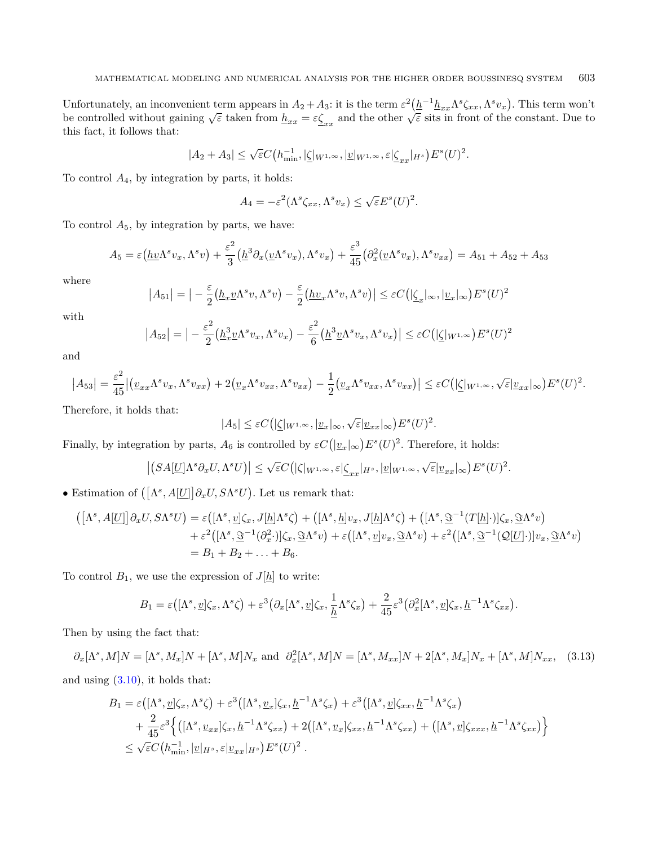Unfortunately, an inconvenient term appears in  $A_2 + A_3$ : it is the term  $\varepsilon^2 \left(\underline{h}^{-1} \underline{h}_{xx} \Lambda^s \zeta_{xx}, \Lambda^s v_x\right)$ . This term won't be controlled without gaining  $\sqrt{\varepsilon}$  taken from  $\underline{h}_{xx} = \varepsilon \underline{\zeta}_{xx}$  and the othe this fact, it follows that:

$$
|A_2 + A_3| \leq \sqrt{\varepsilon} C\left(h_{\min}^{-1}, \left|\underline{\zeta}\right|_{W^{1,\infty}}, \left|\underline{v}\right|_{W^{1,\infty}}, \varepsilon\right| \underline{\zeta}_{xx}|_{H^s}\right) E^s(U)^2.
$$

To control  $A_4$ , by integration by parts, it holds:

$$
A_4 = -\varepsilon^2(\Lambda^s \zeta_{xx}, \Lambda^s v_x) \le \sqrt{\varepsilon} E^s(U)^2.
$$

To control  $A_5$ , by integration by parts, we have:

$$
A_5 = \varepsilon \left( \underline{h} \underline{v} \Lambda^s v_x, \Lambda^s v \right) + \frac{\varepsilon^2}{3} \left( \underline{h}^3 \partial_x (\underline{v} \Lambda^s v_x), \Lambda^s v_x \right) + \frac{\varepsilon^3}{45} \left( \partial_x^2 (\underline{v} \Lambda^s v_x), \Lambda^s v_{xx} \right) = A_{51} + A_{52} + A_{53}
$$

where

$$
|A_{51}| = |-\frac{\varepsilon}{2}(\underline{h}_x \underline{v}\Lambda^s v, \Lambda^s v) - \frac{\varepsilon}{2}(\underline{h} \underline{v}_x \Lambda^s v, \Lambda^s v)| \leq \varepsilon C(|\underline{\zeta}_x|_{\infty}, |\underline{v}_x|_{\infty}) E^s(U)^2
$$

with

$$
\left| A_{52} \right| = \left| -\frac{\varepsilon^2}{2} \left( \underline{h}_x^3 \underline{v} \Lambda^s v_x, \Lambda^s v_x \right) - \frac{\varepsilon^2}{6} \left( \underline{h}^3 \underline{v} \Lambda^s v_x, \Lambda^s v_x \right) \right| \leq \varepsilon C \left( \left| \underline{\zeta} \right|_{W^{1,\infty}} \right) E^s(U)^2
$$

and

$$
\left|A_{53}\right| = \frac{\varepsilon^2}{45} \left| \left(\underline{v}_{xx}\Lambda^s v_x, \Lambda^s v_{xx}\right) + 2\left(\underline{v}_x\Lambda^s v_{xx}, \Lambda^s v_{xx}\right) - \frac{1}{2}\left(\underline{v}_x\Lambda^s v_{xx}, \Lambda^s v_{xx}\right) \right| \leq \varepsilon C \left( \left|\underline{\zeta}|_{W^{1,\infty}}, \sqrt{\varepsilon}|_{\underline{v}_{xx}}\right|_{\infty} \right) E^s(U)^2.
$$

Therefore, it holds that:

$$
|A_5| \leq \varepsilon C\big(|\underline{\zeta}|_{W^{1,\infty}}, |\underline{v}_x|_{\infty}, \sqrt{\varepsilon}|\underline{v}_{xx}|_{\infty}\big) E^s(U)^2.
$$

Finally, by integration by parts,  $A_6$  is controlled by  $\varepsilon C(|\underline{v}_x|_\infty)E^s(U)^2$ . Therefore, it holds:

<span id="page-10-0"></span>
$$
\left| \left(SA[\underline{U}]\Lambda^s \partial_x U, \Lambda^s U\right) \right| \leq \sqrt{\varepsilon} C \big( |\zeta|_{W^{1,\infty}} , \varepsilon |\underline{\zeta}_{xx}|_{H^s}, |\underline{v}|_{W^{1,\infty}}, \sqrt{\varepsilon} |\underline{v}_{xx}|_\infty \big) E^s(U)^2.
$$

• Estimation of  $([\Lambda^s, A[\underline{U}]] \partial_x U, S \Lambda^s U)$ . Let us remark that:

$$
\begin{aligned}\n\left(\left[\Lambda^s, A[\underline{U}]\right] \partial_x U, S \Lambda^s U\right) &= \varepsilon \left(\left[\Lambda^s, \underline{v}\right] \zeta_x, J[\underline{h}] \Lambda^s \zeta\right) + \left(\left[\Lambda^s, \underline{h}\right] v_x, J[\underline{h}] \Lambda^s \zeta\right) + \left(\left[\Lambda^s, \underline{\Im}^{-1}(T[\underline{h}])\right] \zeta_x, \underline{\Im} \Lambda^s v\right) \\
&\quad + \varepsilon^2 \left(\left[\Lambda^s, \underline{\Im}^{-1}(\partial_x^2 \cdot)\right] \zeta_x, \underline{\Im} \Lambda^s v\right) + \varepsilon \left(\left[\Lambda^s, \underline{v}\right] v_x, \underline{\Im} \Lambda^s v\right) + \varepsilon^2 \left(\left[\Lambda^s, \underline{\Im}^{-1}(\underline{Q}[\underline{U}])\right] v_x, \underline{\Im} \Lambda^s v\right) \\
&= B_1 + B_2 + \ldots + B_6.\n\end{aligned}
$$

To control  $B_1$ , we use the expression of  $J[\underline{h}]$  to write:

$$
B_1 = \varepsilon([\Lambda^s, \underline{v}]\zeta_x, \Lambda^s \zeta) + \varepsilon^3 (\partial_x [\Lambda^s, \underline{v}]\zeta_x, \frac{1}{\underline{h}} \Lambda^s \zeta_x) + \frac{2}{45} \varepsilon^3 (\partial_x^2 [\Lambda^s, \underline{v}]\zeta_x, \underline{h}^{-1} \Lambda^s \zeta_{xx}).
$$

Then by using the fact that:

 $\partial_x[\Lambda^s, M]N = [\Lambda^s, M_x]N + [\Lambda^s, M]N_x$  and  $\partial_x^2[\Lambda^s, M]N = [\Lambda^s, M_{xx}]N + 2[\Lambda^s, M_x]N_x + [\Lambda^s, M]N_{xx}$ , (3.13) and using [\(3.10\)](#page-8-2), it holds that:

$$
B_1 = \varepsilon\left( [\Lambda^s, \underline{v}] \zeta_x, \Lambda^s \zeta \right) + \varepsilon^3 \left( [\Lambda^s, \underline{v}_x] \zeta_x, \underline{h}^{-1} \Lambda^s \zeta_x \right) + \varepsilon^3 \left( [\Lambda^s, \underline{v}] \zeta_{xx}, \underline{h}^{-1} \Lambda^s \zeta_x \right) + \frac{2}{45} \varepsilon^3 \left\{ \left( [\Lambda^s, \underline{v}_{xx}] \zeta_x, \underline{h}^{-1} \Lambda^s \zeta_{xx} \right) + 2 \left( [\Lambda^s, \underline{v}_x] \zeta_{xx}, \underline{h}^{-1} \Lambda^s \zeta_{xx} \right) + \left( [\Lambda^s, \underline{v}] \zeta_{xxx}, \underline{h}^{-1} \Lambda^s \zeta_{xx} \right) \right\} \leq \sqrt{\varepsilon} C \left( h_{\min}^{-1}, |\underline{v}|_{H^s}, \varepsilon |\underline{v}_{xx}|_{H^s} \right) E^s(U)^2.
$$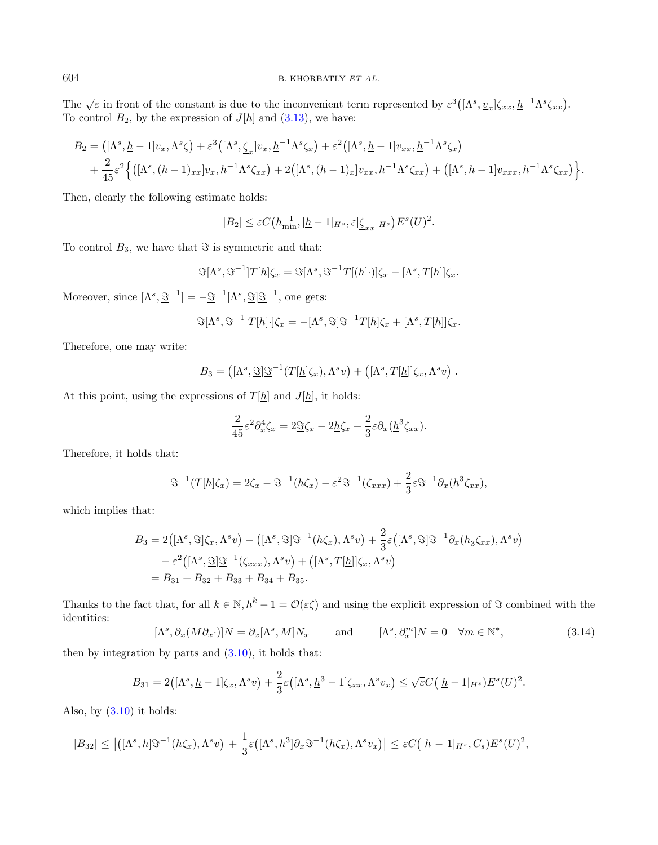The  $\sqrt{\varepsilon}$  in front of the constant is due to the inconvenient term represented by  $\varepsilon^3([\Lambda^s, \underline{v}_x]\zeta_{xx}, \underline{h}^{-1}\Lambda^s\zeta_{xx})$ . To control  $B_2$ , by the expression of  $J[\underline{h}]$  and  $(3.13)$ , we have:

$$
B_2 = ([\Lambda^s, \underline{h} - 1]v_x, \Lambda^s \zeta) + \varepsilon^3 ([\Lambda^s, \underline{\zeta}_x] v_x, \underline{h}^{-1} \Lambda^s \zeta_x) + \varepsilon^2 ([\Lambda^s, \underline{h} - 1] v_{xx}, \underline{h}^{-1} \Lambda^s \zeta_x) + \frac{2}{45} \varepsilon^2 \Big\{ ([\Lambda^s, (\underline{h} - 1)_{xx}] v_x, \underline{h}^{-1} \Lambda^s \zeta_{xx}) + 2 ([\Lambda^s, (\underline{h} - 1)_x] v_{xx}, \underline{h}^{-1} \Lambda^s \zeta_{xx}) + ([\Lambda^s, \underline{h} - 1] v_{xxx}, \underline{h}^{-1} \Lambda^s \zeta_{xx}) \Big\}.
$$

Then, clearly the following estimate holds:

$$
|B_2| \leq \varepsilon C (h_{\min}^{-1}, |h-1|_{H^s}, \varepsilon | \underline{\zeta}_{xx}|_{H^s}) E^s(U)^2.
$$

To control  $B_3$ , we have that  $\mathcal{S}_3$  is symmetric and that:

$$
\mathfrak{S}[\Lambda^s, \mathfrak{S}^{-1}]T[\underline{h}]\zeta_x = \mathfrak{S}[\Lambda^s, \mathfrak{S}^{-1}T[(\underline{h}]\cdot)]\zeta_x - [\Lambda^s, T[\underline{h}]]\zeta_x.
$$

Moreover, since  $[\Lambda^s, \underline{\mathfrak{S}}^{-1}] = -\underline{\mathfrak{S}}^{-1}[\Lambda^s, \underline{\mathfrak{S}}] \underline{\mathfrak{S}}^{-1}$ , one gets:

$$
\mathfrak{S}[\Lambda^s, \mathfrak{S}^{-1} T[\underline{h}]\cdot]\zeta_x = -[\Lambda^s, \mathfrak{S}]\mathfrak{S}^{-1}T[\underline{h}]\zeta_x + [\Lambda^s, T[\underline{h}]]\zeta_x.
$$

Therefore, one may write:

$$
B_3 = ([\Lambda^s, \underline{\Im}]\underline{\Im}^{-1}(T[\underline{h}]\zeta_x), \Lambda^s v) + ([\Lambda^s, T[\underline{h}]]\zeta_x, \Lambda^s v) .
$$

At this point, using the expressions of  $T[\underline{h}]$  and  $J[\underline{h}]$ , it holds:

$$
\frac{2}{45}\varepsilon^2\partial_x^4\zeta_x = 2\underline{\Im}\zeta_x - 2\underline{h}\zeta_x + \frac{2}{3}\varepsilon\partial_x(\underline{h}^3\zeta_{xx}).
$$

<span id="page-11-0"></span>Therefore, it holds that:

$$
\underline{\Im}^{-1}(T[\underline{h}]\zeta_x) = 2\zeta_x - \underline{\Im}^{-1}(\underline{h}\zeta_x) - \varepsilon^2 \underline{\Im}^{-1}(\zeta_{xxx}) + \frac{2}{3}\varepsilon \underline{\Im}^{-1}\partial_x(\underline{h}^3\zeta_{xx}),
$$

which implies that:

$$
B_3 = 2\left( [\Lambda^s, \mathfrak{S}] \zeta_x, \Lambda^s v \right) - \left( [\Lambda^s, \mathfrak{S}] \mathfrak{S}^{-1}(\underline{h} \zeta_x), \Lambda^s v \right) + \frac{2}{3} \varepsilon \left( [\Lambda^s, \mathfrak{S}] \mathfrak{S}^{-1} \partial_x (\underline{h}_3 \zeta_{xx}), \Lambda^s v \right) - \varepsilon^2 \left( [\Lambda^s, \mathfrak{S}] \mathfrak{S}^{-1}(\zeta_{xxx}), \Lambda^s v \right) + \left( [\Lambda^s, T[\underline{h}] \zeta_x, \Lambda^s v \right) = B_{31} + B_{32} + B_{33} + B_{34} + B_{35}.
$$

Thanks to the fact that, for all  $k \in \mathbb{N}, \underline{h}^k - 1 = \mathcal{O}(\varepsilon \underline{\zeta})$  and using the explicit expression of  $\underline{\mathfrak{S}}$  combined with the identities:

$$
[\Lambda^s, \partial_x(M\partial_x \cdot)]N = \partial_x[\Lambda^s, M]N_x \quad \text{and} \quad [\Lambda^s, \partial_x^m]N = 0 \quad \forall m \in \mathbb{N}^*, \tag{3.14}
$$

then by integration by parts and  $(3.10)$ , it holds that:

$$
B_{31} = 2\big([\Lambda^s, \underline{h} - 1]\zeta_x, \Lambda^s v\big) + \frac{2}{3}\varepsilon\big([\Lambda^s, \underline{h}^3 - 1]\zeta_{xx}, \Lambda^s v_x\big) \le \sqrt{\varepsilon}C\big(|\underline{h} - 1|_{H^s})E^s(U)^2.
$$

Also, by  $(3.10)$  it holds:

$$
|B_{32}| \leq \left| \left( [\Lambda^s, \underline{h}] \underline{\Im}^{-1}(\underline{h} \zeta_x), \Lambda^s v \right) + \frac{1}{3} \varepsilon \left( [\Lambda^s, \underline{h}^3] \partial_x \underline{\Im}^{-1}(\underline{h} \zeta_x), \Lambda^s v_x \right) \right| \leq \varepsilon C \left( |\underline{h} - 1|_{H^s}, C_s \right) E^s(U)^2,
$$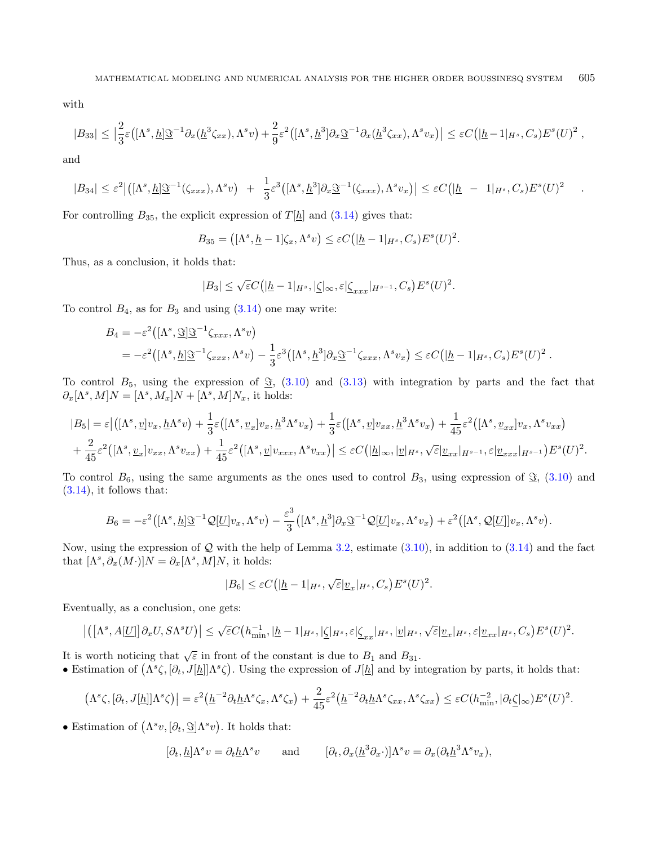with

$$
|B_{33}| \leq \left|\frac{2}{3}\varepsilon\left([\Lambda^s, \underline{h}]\underline{\Im}^{-1}\partial_x(\underline{h}^3\zeta_{xx}), \Lambda^s v\right) + \frac{2}{9}\varepsilon^2\left([\Lambda^s, \underline{h}^3]\partial_x\underline{\Im}^{-1}\partial_x(\underline{h}^3\zeta_{xx}), \Lambda^s v_x\right)\right| \leq \varepsilon C\left(|\underline{h} - 1|_{H^s}, C_s\right)E^s(U)^2,
$$

and

$$
|B_{34}| \leq \varepsilon^2 \big| \big( [\Lambda^s, \underline{h}] \underline{\Im}^{-1}(\zeta_{xxx}), \Lambda^s v \big) + \frac{1}{3} \varepsilon^3 \big( [\Lambda^s, \underline{h}^3] \partial_x \underline{\Im}^{-1}(\zeta_{xxx}), \Lambda^s v_x \big) \big| \leq \varepsilon C \big( |\underline{h} - 1|_{H^s}, C_s \big) E^s(U)^2
$$

.

For controlling  $B_{35}$ , the explicit expression of  $T[\underline{h}]$  and  $(3.14)$  gives that:

$$
B_{35} = ([\Lambda^s, \underline{h} - 1]\zeta_x, \Lambda^s v) \leq \varepsilon C(|\underline{h} - 1|_{H^s}, C_s)E^s(U)^2.
$$

Thus, as a conclusion, it holds that:

$$
|B_3| \leq \sqrt{\varepsilon}C\big(|\underline{h}-1|_{H^s},|\underline{\zeta}|\infty,\varepsilon|\underline{\zeta}_{xxx}|_{H^{s-1}},C_s\big)E^s(U)^2.
$$

To control  $B_4$ , as for  $B_3$  and using  $(3.14)$  one may write:

$$
B_4 = -\varepsilon^2 \left( [\Lambda^s, \underline{\Im}] \underline{\Im}^{-1} \zeta_{xxx}, \Lambda^s v \right)
$$
  
=  $-\varepsilon^2 \left( [\Lambda^s, \underline{h}] \underline{\Im}^{-1} \zeta_{xxx}, \Lambda^s v \right) - \frac{1}{3} \varepsilon^3 \left( [\Lambda^s, \underline{h}^3] \partial_x \underline{\Im}^{-1} \zeta_{xxx}, \Lambda^s v_x \right) \leq \varepsilon C \left( |\underline{h} - 1|_{H^s}, C_s \right) E^s(U)^2.$ 

To control  $B_5$ , using the expression of  $\Im$ , [\(3.10\)](#page-8-2) and [\(3.13\)](#page-10-0) with integration by parts and the fact that  $\partial_x[\Lambda^s, M]N = [\Lambda^s, M_x]N + [\Lambda^s, M]N_x$ , it holds:

$$
|B_5| = \varepsilon \left| \left( [\Lambda^s, \underline{v}] v_x, \underline{h} \Lambda^s v \right) + \frac{1}{3} \varepsilon \left( [\Lambda^s, \underline{v}_x] v_x, \underline{h}^3 \Lambda^s v_x \right) + \frac{1}{3} \varepsilon \left( [\Lambda^s, \underline{v}] v_{xx}, \underline{h}^3 \Lambda^s v_x \right) + \frac{1}{45} \varepsilon^2 \left( [\Lambda^s, \underline{v}_{xx}] v_x, \Lambda^s v_{xx} \right) \right|
$$
  
+ 
$$
\frac{2}{45} \varepsilon^2 \left( [\Lambda^s, \underline{v}_x] v_{xx}, \Lambda^s v_{xx} \right) + \frac{1}{45} \varepsilon^2 \left( [\Lambda^s, \underline{v}] v_{xxx}, \Lambda^s v_{xx} \right) \left| \leq \varepsilon C \left( |\underline{h}|_{\infty}, |\underline{v}|_{H^s}, \sqrt{\varepsilon} | \underline{v}_{xx}|_{H^{s-1}}, \varepsilon | \underline{v}_{xxx}|_{H^{s-1}} \right) E^s(U)^2.
$$

To control  $B_6$ , using the same arguments as the ones used to control  $B_3$ , using expression of  $\mathcal{S}_5$ , [\(3.10\)](#page-8-2) and  $(3.14)$ , it follows that:

$$
B_6 = -\varepsilon^2 \left( [\Lambda^s, \underline{h}] \underline{\mathfrak{S}}^{-1} \mathcal{Q}[\underline{U}] v_x, \Lambda^s v \right) - \frac{\varepsilon^3}{3} \left( [\Lambda^s, \underline{h}^3] \partial_x \underline{\mathfrak{S}}^{-1} \mathcal{Q}[\underline{U}] v_x, \Lambda^s v_x \right) + \varepsilon^2 \left( [\Lambda^s, \mathcal{Q}[\underline{U}]] v_x, \Lambda^s v \right).
$$

Now, using the expression of  $Q$  with the help of Lemma [3.2,](#page-6-3) estimate [\(3.10\)](#page-8-2), in addition to [\(3.14\)](#page-11-0) and the fact that  $[\Lambda^s, \partial_x(M\cdot)]N = \partial_x[\Lambda^s, M]N$ , it holds:

$$
|B_6| \leq \varepsilon C(|\underline{h} - 1|_{H^s}, \sqrt{\varepsilon}|\underline{v}_x|_{H^s}, C_s)E^s(U)^2.
$$

Eventually, as a conclusion, one gets:

$$
\left|\left(\left[\Lambda^s,A[\underline{U}]\right]\partial_x U,S\Lambda^s U\right)\right| \leq \sqrt{\varepsilon} C\left(h_{\min}^{-1},|\underline{h}-1|_{H^s},|\underline{\zeta}|_{H^s},\varepsilon|\underline{\zeta}_{xx}|_{H^s},|\underline{v}|_{H^s},\sqrt{\varepsilon}|\underline{v}_x|_{H^s},\varepsilon|\underline{v}_{xx}|_{H^s},C_s\right) E^s(U)^2.
$$

It is worth noticing that  $\sqrt{\varepsilon}$  in front of the constant is due to  $B_1$  and  $B_{31}$ .

• Estimation of  $(\Lambda^s \zeta, [\partial_t, J[\underline{h}]] \Lambda^s \zeta)$ . Using the expression of  $J[\underline{h}]$  and by integration by parts, it holds that:

$$
(\Lambda^s \zeta, [\partial_t, J[\underline{h}]] \Lambda^s \zeta) \Big| = \varepsilon^2 \big( \underline{h}^{-2} \partial_t \underline{h} \Lambda^s \zeta_x, \Lambda^s \zeta_x \big) + \frac{2}{45} \varepsilon^2 \big( \underline{h}^{-2} \partial_t \underline{h} \Lambda^s \zeta_{xx}, \Lambda^s \zeta_{xx} \big) \leq \varepsilon C (h_{\min}^{-2}, |\partial_t \underline{\zeta}|_{\infty}) E^s(U)^2.
$$

• Estimation of  $(\Lambda^s v, [\partial_t, \mathcal{S}] \Lambda^s v)$ . It holds that:

$$
[\partial_t, \underline{h}]\Lambda^s v = \partial_t \underline{h} \Lambda^s v \quad \text{and} \quad [\partial_t, \partial_x (\underline{h}^3 \partial_x \cdot)] \Lambda^s v = \partial_x (\partial_t \underline{h}^3 \Lambda^s v_x),
$$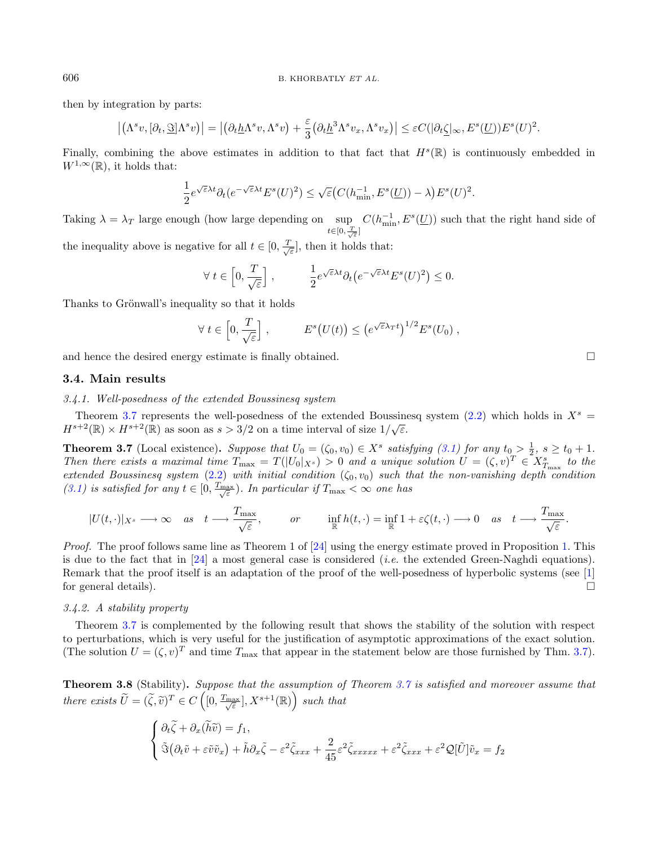then by integration by parts:

$$
\left| \left( \Lambda^s v, [\partial_t, \underline{\Im}] \Lambda^s v \right) \right| = \left| \left( \partial_t \underline{h} \Lambda^s v, \Lambda^s v \right) + \frac{\varepsilon}{3} \left( \partial_t \underline{h}^3 \Lambda^s v_x, \Lambda^s v_x \right) \right| \leq \varepsilon C(|\partial_t \underline{\zeta}|_{\infty}, E^s(\underline{U})) E^s(U)^2.
$$

Finally, combining the above estimates in addition to that fact that  $H^s(\mathbb{R})$  is continuously embedded in  $W^{1,\infty}(\mathbb{R})$ , it holds that:

$$
\frac{1}{2}e^{\sqrt{\varepsilon}\lambda t}\partial_t(e^{-\sqrt{\varepsilon}\lambda t}E^s(U)^2)\leq \sqrt{\varepsilon}\big(C(h_{\min}^{-1},E^s(\underline{U}))-\lambda\big)E^s(U)^2.
$$

Taking  $\lambda = \lambda_T$  large enough (how large depending on sup  $C(h_{\min}^{-1}, E^s(\underline{U}))$  such that the right hand side of  $t \in [0, \frac{T}{\sqrt{\varepsilon}}]$ 

the inequality above is negative for all  $t \in [0, \frac{T}{\sqrt{\varepsilon}}]$ , then it holds that:

$$
\forall t \in \left[0, \frac{T}{\sqrt{\varepsilon}}\right], \qquad \frac{1}{2} e^{\sqrt{\varepsilon}\lambda t} \partial_t \left(e^{-\sqrt{\varepsilon}\lambda t} E^s(U)^2\right) \le 0.
$$

Thanks to Grönwall's inequality so that it holds

$$
\forall t \in \left[0, \frac{T}{\sqrt{\varepsilon}}\right], \qquad E^s\big(U(t)\big) \leq \big(e^{\sqrt{\varepsilon}\lambda_T t}\big)^{1/2} E^s(U_0) ,
$$

and hence the desired energy estimate is finally obtained.

#### <span id="page-13-0"></span>3.4. Main results

3.4.1. Well-posedness of the extended Boussinesq system

Theorem [3.7](#page-13-1) represents the well-posedness of the extended Boussinesq system [\(2.2\)](#page-5-0) which holds in  $X^s =$  $H^{s+2}(\mathbb{R}) \times H^{s+2}(\mathbb{R})$  as soon as  $s > 3/2$  on a time interval of size  $1/\sqrt{\varepsilon}$ .

**Theorem 3.7** (Local existence). Suppose that  $U_0 = (\zeta_0, v_0) \in X^s$  satisfying [\(3.1\)](#page-6-2) for any  $t_0 > \frac{1}{2}$ ,  $s \ge t_0 + 1$ . Then there exists a maximal time  $T_{\text{max}} = T(|U_0|_{X^s}) > 0$  and a unique solution  $U = (\zeta, v)^T \in X^s_{T_{\text{max}}}$  to the extended Boussinesq system [\(2.2\)](#page-5-0) with initial condition  $(\zeta_0, v_0)$  such that the non-vanishing depth condition [\(3.1\)](#page-6-2) is satisfied for any  $t \in [0, \frac{T_{\text{max}}}{\sqrt{\varepsilon}})$ . In particular if  $T_{\text{max}} < \infty$  one has

<span id="page-13-2"></span>
$$
|U(t,\cdot)|_{X^s}\longrightarrow\infty\quad as\quad t\longrightarrow \frac{T_{\max}}{\sqrt{\varepsilon}},\qquad\quad or\qquad\inf_{\mathbb{R}}h(t,\cdot)=\inf_{\mathbb{R}}1+\varepsilon\zeta(t,\cdot)\longrightarrow0\quad as\quad t\longrightarrow \frac{T_{\max}}{\sqrt{\varepsilon}}.
$$

Proof. The proof follows same line as Theorem 1 of [\[24\]](#page-22-10) using the energy estimate proved in Proposition [1.](#page-8-0) This is due to the fact that in [\[24\]](#page-22-10) a most general case is considered (*i.e.* the extended Green-Naghdi equations). Remark that the proof itself is an adaptation of the proof of the well-posedness of hyperbolic systems (see [\[1\]](#page-21-11) for general details).  $\Box$ 

3.4.2. A stability property

Theorem [3.7](#page-13-1) is complemented by the following result that shows the stability of the solution with respect to perturbations, which is very useful for the justification of asymptotic approximations of the exact solution. (The solution  $U = (\zeta, v)^T$  and time  $T_{\text{max}}$  that appear in the statement below are those furnished by Thm. [3.7\)](#page-13-1).

Theorem 3.8 (Stability). Suppose that the assumption of Theorem [3.7](#page-13-1) is satisfied and moreover assume that there exists  $\widetilde{U} = (\widetilde{\zeta}, \widetilde{v})^T \in C\left([0, \frac{T_{\text{max}}}{\sqrt{\varepsilon}}], X^{s+1}(\mathbb{R})\right)$  such that

$$
\begin{cases} \partial_t \tilde{\zeta} + \partial_x (\tilde{h}\tilde{v}) = f_1, \\ \tilde{\Im}(\partial_t \tilde{v} + \varepsilon \tilde{v} \tilde{v}_x) + \tilde{h} \partial_x \tilde{\zeta} - \varepsilon^2 \tilde{\zeta}_{xxx} + \frac{2}{45} \varepsilon^2 \tilde{\zeta}_{xxxxx} + \varepsilon^2 \tilde{\zeta}_{xxx} + \varepsilon^2 \mathcal{Q}[\tilde{U}] \tilde{v}_x = f_2 \end{cases}
$$

<span id="page-13-1"></span>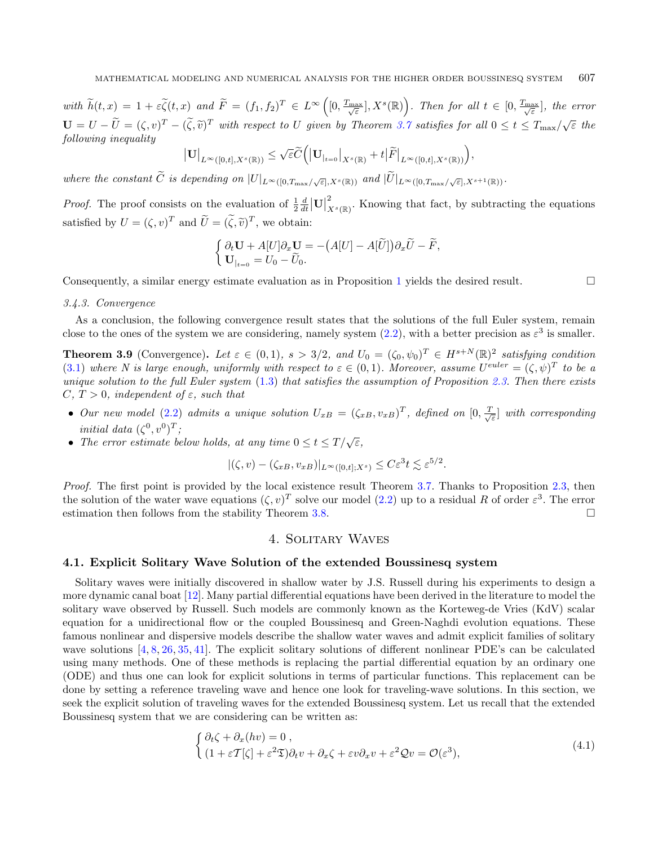with  $\widetilde{h}(t,x) = 1 + \varepsilon \widetilde{\zeta}(t,x)$  and  $\widetilde{F} = (f_1, f_2)^T \in L^{\infty}([0, \frac{T_{\text{max}}}{\sqrt{\varepsilon}}], X^s(\mathbb{R}))$ . Then for all  $t \in [0, \frac{T_{\text{max}}}{\sqrt{\varepsilon}}],$  the error  $\mathbf{U} = U - \widetilde{U} = (\zeta, v)^T - (\widetilde{\zeta}, \widetilde{v})^T$  with respect to U given by Theorem [3.7](#page-13-1) satisfies for all  $0 \le t \le T_{\text{max}}/\sqrt{\varepsilon}$  the following inequality following inequality

$$
\big|\mathbf{U}\big|_{L^\infty([0,t],X^s(\mathbb{R}))}\leq \sqrt{\varepsilon}\widetilde{C}\Big(\big|\mathbf{U}_{|_{t=0}}\big|_{X^s(\mathbb{R})}+t\big|\widetilde{F}\big|_{L^\infty([0,t],X^s(\mathbb{R}))}\Big),
$$

where the constant C is depending on  $|U|_{L^{\infty}([0,T_{\max}/\sqrt{\varepsilon}],X^{s}(\mathbb{R}))}$  and  $|U|_{L^{\infty}([0,T_{\max}/\sqrt{\varepsilon}],X^{s+1}(\mathbb{R}))}$ .

*Proof.* The proof consists on the evaluation of  $\frac{1}{2} \frac{d}{dt} |\mathbf{U}|$ 2  $\tilde{X}^s(\mathbb{R})$ . Knowing that fact, by subtracting the equations satisfied by  $U = (\zeta, v)^T$  and  $\tilde{U} = (\tilde{\zeta}, \tilde{v})^T$ , we obtain:

$$
\begin{cases} \partial_t \mathbf{U} + A[U] \partial_x \mathbf{U} = -\big(A[U] - A[\tilde{U}]\big) \partial_x \tilde{U} - \tilde{F}, \\ \mathbf{U}_{|t=0} = U_0 - \tilde{U}_0. \end{cases}
$$

Consequently, a similar energy estimate evaluation as in Proposition [1](#page-8-0) yields the desired result.

#### 3.4.3. Convergence

As a conclusion, the following convergence result states that the solutions of the full Euler system, remain close to the ones of the system we are considering, namely system  $(2.2)$ , with a better precision as  $\varepsilon^3$  is smaller.

<span id="page-14-1"></span>**Theorem 3.9** (Convergence). Let  $\varepsilon \in (0,1)$ ,  $s > 3/2$ , and  $U_0 = (\zeta_0, \psi_0)^T \in H^{s+N}(\mathbb{R})^2$  satisfying condition [\(3.1\)](#page-6-2) where N is large enough, uniformly with respect to  $\varepsilon \in (0,1)$ . Moreover, assume  $U^{euler} = (\zeta, \psi)^T$  to be a unique solution to the full Euler system  $(1.3)$  that satisfies the assumption of Proposition [2.3.](#page-5-4) Then there exists  $C, T > 0$ , independent of  $\varepsilon$ , such that

- Our new model [\(2.2\)](#page-5-0) admits a unique solution  $U_{xB} = (\zeta_{xB}, v_{xB})^T$ , defined on  $[0, \frac{T}{\sqrt{\varepsilon}}]$  with corresponding initial data  $(\zeta^0, v^0)^T$ ;
- The error estimate below holds, at any time  $0 \le t \le T/\sqrt{\varepsilon}$ ,

$$
|(\zeta, v) - (\zeta_{xB}, v_{xB})|_{L^{\infty}([0,t];X^s)} \leq C\varepsilon^3 t \lesssim \varepsilon^{5/2}.
$$

Proof. The first point is provided by the local existence result Theorem [3.7.](#page-13-1) Thanks to Proposition [2.3,](#page-5-4) then the solution of the water wave equations  $(\zeta, v)^T$  solve our model  $(2.2)$  up to a residual R of order  $\varepsilon^3$ . The error estimation then follows from the stability Theorem [3.8.](#page-13-2)

## <span id="page-14-2"></span>4. Solitary Waves

#### <span id="page-14-0"></span>4.1. Explicit Solitary Wave Solution of the extended Boussinesq system

Solitary waves were initially discovered in shallow water by J.S. Russell during his experiments to design a more dynamic canal boat [\[12\]](#page-21-12). Many partial differential equations have been derived in the literature to model the solitary wave observed by Russell. Such models are commonly known as the Korteweg-de Vries (KdV) scalar equation for a unidirectional flow or the coupled Boussinesq and Green-Naghdi evolution equations. These famous nonlinear and dispersive models describe the shallow water waves and admit explicit families of solitary wave solutions  $[4, 8, 26, 35, 41]$  $[4, 8, 26, 35, 41]$  $[4, 8, 26, 35, 41]$  $[4, 8, 26, 35, 41]$  $[4, 8, 26, 35, 41]$  $[4, 8, 26, 35, 41]$  $[4, 8, 26, 35, 41]$  $[4, 8, 26, 35, 41]$  $[4, 8, 26, 35, 41]$ . The explicit solitary solutions of different nonlinear PDE's can be calculated using many methods. One of these methods is replacing the partial differential equation by an ordinary one (ODE) and thus one can look for explicit solutions in terms of particular functions. This replacement can be done by setting a reference traveling wave and hence one look for traveling-wave solutions. In this section, we seek the explicit solution of traveling waves for the extended Boussinesq system. Let us recall that the extended Boussinesq system that we are considering can be written as:

$$
\begin{cases} \partial_t \zeta + \partial_x (hv) = 0 , \\ (1 + \varepsilon T[\zeta] + \varepsilon^2 \mathfrak{D}) \partial_t v + \partial_x \zeta + \varepsilon v \partial_x v + \varepsilon^2 \mathcal{Q} v = \mathcal{O}(\varepsilon^3), \end{cases} \tag{4.1}
$$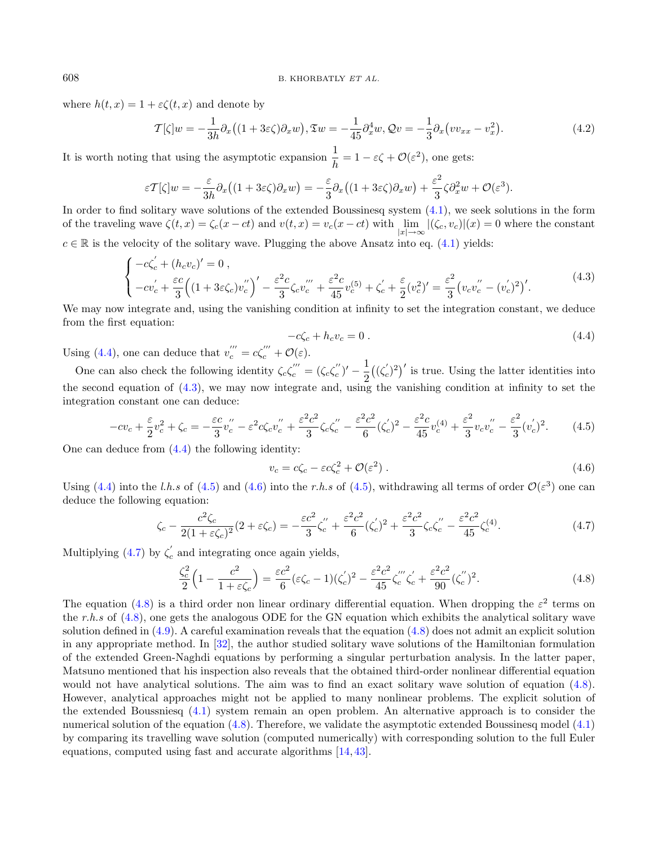where  $h(t, x) = 1 + \varepsilon \zeta(t, x)$  and denote by

$$
\mathcal{T}[\zeta]w = -\frac{1}{3h}\partial_x\left((1+3\varepsilon\zeta)\partial_x w\right), \mathfrak{T}w = -\frac{1}{45}\partial_x^4 w, \mathcal{Q}v = -\frac{1}{3}\partial_x\left(vv_{xx} - v_x^2\right). \tag{4.2}
$$

It is worth noting that using the asymptotic expansion  $\frac{1}{h} = 1 - \varepsilon \zeta + \mathcal{O}(\varepsilon^2)$ , one gets:

<span id="page-15-0"></span>
$$
\varepsilon \mathcal{T}[\zeta]w = -\frac{\varepsilon}{3h}\partial_x\big((1+3\varepsilon\zeta)\partial_x w\big) = -\frac{\varepsilon}{3}\partial_x\big((1+3\varepsilon\zeta)\partial_x w\big) + \frac{\varepsilon^2}{3}\zeta\partial_x^2 w + \mathcal{O}(\varepsilon^3).
$$

In order to find solitary wave solutions of the extended Boussinesq system [\(4.1\)](#page-14-2), we seek solutions in the form of the traveling wave  $\zeta(t, x) = \zeta_c(x - ct)$  and  $v(t, x) = v_c(x - ct)$  with  $\lim_{|x| \to \infty} |(\zeta_c, v_c)|(x) = 0$  where the constant  $c \in \mathbb{R}$  is the velocity of the solitary wave. Plugging the above Ansatz into eq. [\(4.1\)](#page-14-2) yields:

$$
\begin{cases}\n-c\zeta_c' + (h_c v_c)' = 0, \\
-cv_c' + \frac{\varepsilon c}{3} \left( (1 + 3\varepsilon \zeta_c) v_c'' \right)' - \frac{\varepsilon^2 c}{3} \zeta_c v_c'' + \frac{\varepsilon^2 c}{45} v_c^{(5)} + \zeta_c' + \frac{\varepsilon}{2} (v_c^2)' = \frac{\varepsilon^2}{3} (v_c v_c'' - (v_c')^2)'.\n\end{cases} (4.3)
$$

We may now integrate and, using the vanishing condition at infinity to set the integration constant, we deduce from the first equation:

<span id="page-15-5"></span><span id="page-15-4"></span><span id="page-15-3"></span><span id="page-15-2"></span><span id="page-15-1"></span>
$$
-c\zeta_c + h_c v_c = 0. \tag{4.4}
$$

Using [\(4.4\)](#page-15-0), one can deduce that  $v''_c = c\zeta'''_c + \mathcal{O}(\varepsilon)$ .

One can also check the following identity  $\zeta_c\zeta_c^{'''} = (\zeta_c\zeta_c^{''})' - \frac{1}{2}$  $\frac{1}{2}((\zeta_c')^2)'$  is true. Using the latter identities into the second equation of [\(4.3\)](#page-15-1), we may now integrate and, using the vanishing condition at infinity to set the integration constant one can deduce:

$$
-cv_c + \frac{\varepsilon}{2}v_c^2 + \zeta_c = -\frac{\varepsilon c}{3}v_c'' - \varepsilon^2 c\zeta_c v_c'' + \frac{\varepsilon^2 c^2}{3}\zeta_c\zeta_c'' - \frac{\varepsilon^2 c^2}{6}(\zeta_c')^2 - \frac{\varepsilon^2 c}{45}v_c^{(4)} + \frac{\varepsilon^2}{3}v_c v_c'' - \frac{\varepsilon^2}{3}(v_c')^2. \tag{4.5}
$$

One can deduce from [\(4.4\)](#page-15-0) the following identity:

$$
v_c = c\zeta_c - \varepsilon c\zeta_c^2 + \mathcal{O}(\varepsilon^2) \,. \tag{4.6}
$$

Using [\(4.4\)](#page-15-0) into the l.h.s of [\(4.5\)](#page-15-2) and [\(4.6\)](#page-15-3) into the r.h.s of (4.5), withdrawing all terms of order  $\mathcal{O}(\varepsilon^3)$  one can deduce the following equation:

$$
\zeta_c - \frac{c^2 \zeta_c}{2(1 + \varepsilon \zeta_c)^2} (2 + \varepsilon \zeta_c) = -\frac{\varepsilon c^2}{3} \zeta_c'' + \frac{\varepsilon^2 c^2}{6} (\zeta_c')^2 + \frac{\varepsilon^2 c^2}{3} \zeta_c \zeta_c'' - \frac{\varepsilon^2 c^2}{45} \zeta_c^{(4)}.
$$
\n(4.7)

Multiplying [\(4.7\)](#page-15-4) by  $\zeta_c'$  and integrating once again yields,

$$
\frac{\zeta_c^2}{2} \left( 1 - \frac{c^2}{1 + \varepsilon \zeta_c} \right) = \frac{\varepsilon c^2}{6} (\varepsilon \zeta_c - 1) (\zeta_c')^2 - \frac{\varepsilon^2 c^2}{45} \zeta_c''' \zeta_c' + \frac{\varepsilon^2 c^2}{90} (\zeta_c'')^2.
$$
\n(4.8)

The equation [\(4.8\)](#page-15-5) is a third order non linear ordinary differential equation. When dropping the  $\varepsilon^2$  terms on the r.h.s of [\(4.8\)](#page-15-5), one gets the analogous ODE for the GN equation which exhibits the analytical solitary wave solution defined in [\(4.9\)](#page-16-1). A careful examination reveals that the equation [\(4.8\)](#page-15-5) does not admit an explicit solution in any appropriate method. In [\[32\]](#page-22-11), the author studied solitary wave solutions of the Hamiltonian formulation of the extended Green-Naghdi equations by performing a singular perturbation analysis. In the latter paper, Matsuno mentioned that his inspection also reveals that the obtained third-order nonlinear differential equation would not have analytical solutions. The aim was to find an exact solitary wave solution of equation [\(4.8\)](#page-15-5). However, analytical approaches might not be applied to many nonlinear problems. The explicit solution of the extended Boussniesq [\(4.1\)](#page-14-2) system remain an open problem. An alternative approach is to consider the numerical solution of the equation [\(4.8\)](#page-15-5). Therefore, we validate the asymptotic extended Boussinesq model [\(4.1\)](#page-14-2) by comparing its travelling wave solution (computed numerically) with corresponding solution to the full Euler equations, computed using fast and accurate algorithms [\[14,](#page-21-15) [43\]](#page-22-19).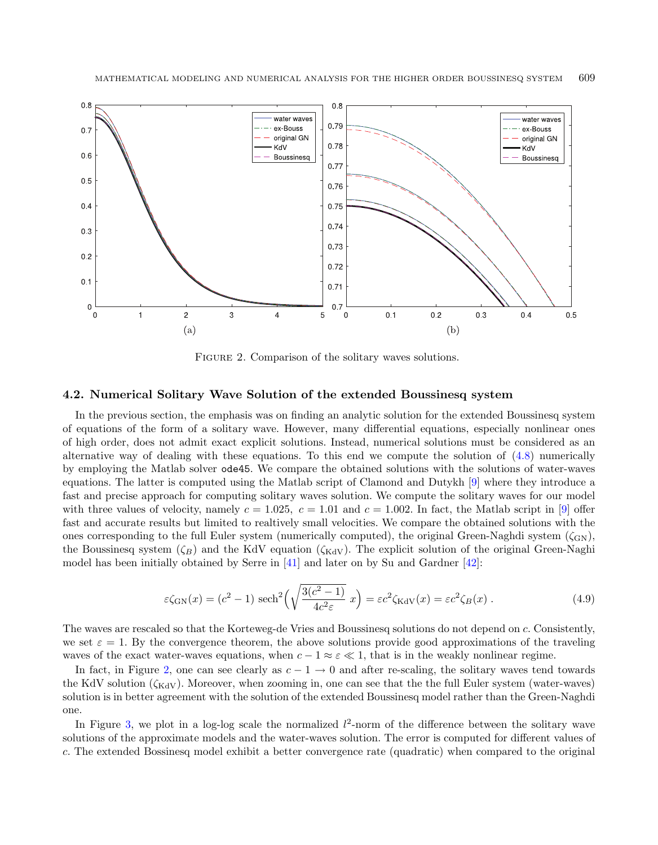

<span id="page-16-1"></span><span id="page-16-0"></span>FIGURE 2. Comparison of the solitary waves solutions.

#### <span id="page-16-2"></span>4.2. Numerical Solitary Wave Solution of the extended Boussinesq system

In the previous section, the emphasis was on finding an analytic solution for the extended Boussinesq system of equations of the form of a solitary wave. However, many differential equations, especially nonlinear ones of high order, does not admit exact explicit solutions. Instead, numerical solutions must be considered as an alternative way of dealing with these equations. To this end we compute the solution of [\(4.8\)](#page-15-5) numerically by employing the Matlab solver ode45. We compare the obtained solutions with the solutions of water-waves equations. The latter is computed using the Matlab script of Clamond and Dutykh [\[9\]](#page-21-16) where they introduce a fast and precise approach for computing solitary waves solution. We compute the solitary waves for our model with three values of velocity, namely  $c = 1.025$ ,  $c = 1.01$  and  $c = 1.002$ . In fact, the Matlab script in [\[9\]](#page-21-16) offer fast and accurate results but limited to realtively small velocities. We compare the obtained solutions with the ones corresponding to the full Euler system (numerically computed), the original Green-Naghdi system  $(\zeta_{GN})$ , the Boussinesq system  $(\zeta_B)$  and the KdV equation  $(\zeta_{\text{KdV}})$ . The explicit solution of the original Green-Naghi model has been initially obtained by Serre in [\[41\]](#page-22-18) and later on by Su and Gardner [\[42\]](#page-22-20):

$$
\varepsilon \zeta_{\rm GN}(x) = (c^2 - 1) \operatorname{sech}^2\left(\sqrt{\frac{3(c^2 - 1)}{4c^2 \varepsilon}} x\right) = \varepsilon c^2 \zeta_{\rm KdV}(x) = \varepsilon c^2 \zeta_B(x) . \tag{4.9}
$$

The waves are rescaled so that the Korteweg-de Vries and Boussinesq solutions do not depend on . Consistently, we set  $\varepsilon = 1$ . By the convergence theorem, the above solutions provide good approximations of the traveling waves of the exact water-waves equations, when  $c - 1 \approx \epsilon \ll 1$ , that is in the weakly nonlinear regime.

In fact, in Figure [2,](#page-16-0) one can see clearly as  $c - 1 \rightarrow 0$  and after re-scaling, the solitary waves tend towards the KdV solution  $(\zeta_{\text{KdV}})$ . Moreover, when zooming in, one can see that the the full Euler system (water-waves) solution is in better agreement with the solution of the extended Boussinesq model rather than the Green-Naghdi one.

In Figure [3,](#page-17-1) we plot in a log-log scale the normalized  $l^2$ -norm of the difference between the solitary wave solutions of the approximate models and the water-waves solution. The error is computed for different values of . The extended Bossinesq model exhibit a better convergence rate (quadratic) when compared to the original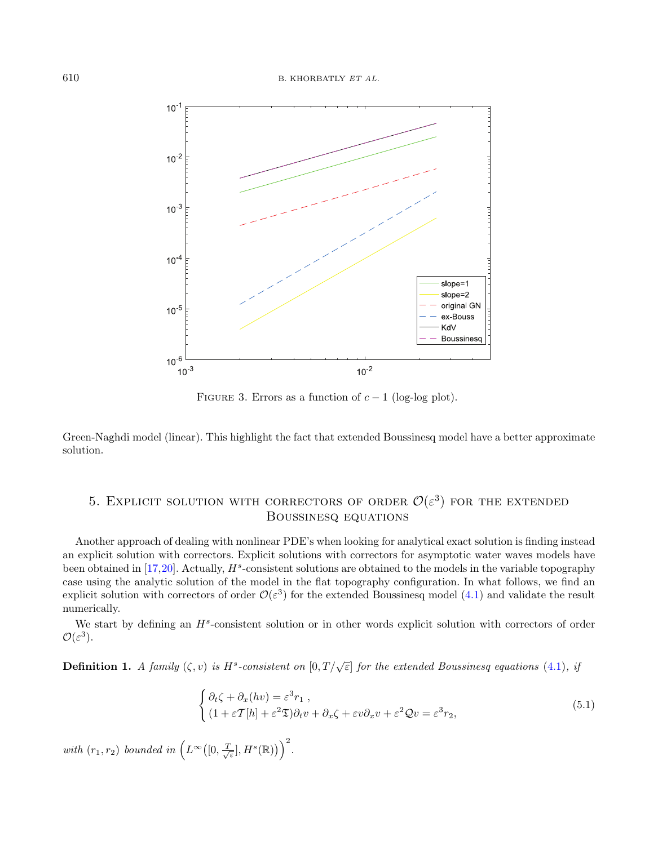

<span id="page-17-1"></span>FIGURE 3. Errors as a function of  $c - 1$  (log-log plot).

Green-Naghdi model (linear). This highlight the fact that extended Boussinesq model have a better approximate solution.

## <span id="page-17-0"></span>5. EXPLICIT SOLUTION WITH CORRECTORS OF ORDER  $\mathcal{O}(\varepsilon^3)$  for the extended Boussinesq equations

Another approach of dealing with nonlinear PDE's when looking for analytical exact solution is finding instead an explicit solution with correctors. Explicit solutions with correctors for asymptotic water waves models have been obtained in  $[17,20]$  $[17,20]$ . Actually,  $H^s$ -consistent solutions are obtained to the models in the variable topography case using the analytic solution of the model in the flat topography configuration. In what follows, we find an explicit solution with correctors of order  $\mathcal{O}(\varepsilon^3)$  for the extended Boussinesq model [\(4.1\)](#page-14-2) and validate the result numerically.

We start by defining an  $H^s$ -consistent solution or in other words explicit solution with correctors of order  $\mathcal{O}(\varepsilon^3)$ .

**Definition 1.** A family  $(\zeta, v)$  is  $H^s$ -consistent on  $[0, T/\sqrt{\varepsilon}]$  for the extended Boussinesq equations [\(4.1\)](#page-14-2), if

$$
\begin{cases} \partial_t \zeta + \partial_x (hv) = \varepsilon^3 r_1 , \\ (1 + \varepsilon T[h] + \varepsilon^2 \mathfrak{D}) \partial_t v + \partial_x \zeta + \varepsilon v \partial_x v + \varepsilon^2 \mathcal{Q} v = \varepsilon^3 r_2, \end{cases} \tag{5.1}
$$

with  $(r_1, r_2)$  bounded in  $(L^{\infty}([0, \frac{T}{\sqrt{\varepsilon}}], H^s(\mathbb{R})))^2$ .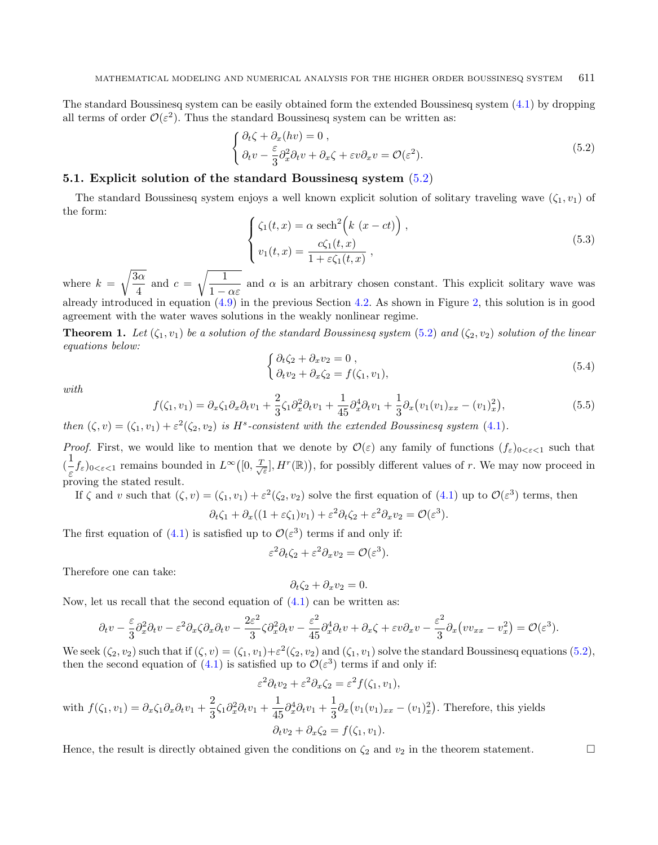<span id="page-18-2"></span>The standard Boussinesq system can be easily obtained form the extended Boussinesq system [\(4.1\)](#page-14-2) by dropping all terms of order  $\mathcal{O}(\varepsilon^2)$ . Thus the standard Boussinesq system can be written as:

<span id="page-18-0"></span>
$$
\begin{cases} \partial_t \zeta + \partial_x (hv) = 0 ,\\ \partial_t v - \frac{\varepsilon}{3} \partial_x^2 \partial_t v + \partial_x \zeta + \varepsilon v \partial_x v = \mathcal{O}(\varepsilon^2). \end{cases}
$$
(5.2)

## 5.1. Explicit solution of the standard Boussinesq system [\(5.2\)](#page-18-0)

<span id="page-18-3"></span><span id="page-18-1"></span>The standard Boussinesq system enjoys a well known explicit solution of solitary traveling wave  $(\zeta_1, v_1)$  of the form:

<span id="page-18-4"></span>
$$
\begin{cases} \zeta_1(t,x) = \alpha \operatorname{sech}^2\left(k \ (x - ct)\right), \\ v_1(t,x) = \frac{c\zeta_1(t,x)}{1 + \varepsilon\zeta_1(t,x)}, \end{cases}
$$
\n(5.3)

where  $k =$  $\sqrt{3\alpha}$  $rac{3\alpha}{4}$  and  $c = \sqrt{\frac{1}{1-\alpha^2}}$  $\frac{1}{1 - \alpha \varepsilon}$  and  $\alpha$  is an arbitrary chosen constant. This explicit solitary wave was already introduced in equation [\(4.9\)](#page-16-1) in the previous Section [4.2.](#page-16-2) As shown in Figure [2,](#page-16-0) this solution is in good agreement with the water waves solutions in the weakly nonlinear regime.

**Theorem 1.** Let  $(\zeta_1, v_1)$  be a solution of the standard Boussinesq system [\(5.2\)](#page-18-0) and  $(\zeta_2, v_2)$  solution of the linear equations below:

$$
\begin{cases}\n\partial_t \zeta_2 + \partial_x v_2 = 0, \\
\partial_t v_2 + \partial_x \zeta_2 = f(\zeta_1, v_1),\n\end{cases} (5.4)
$$

with

$$
f(\zeta_1, v_1) = \partial_x \zeta_1 \partial_x \partial_t v_1 + \frac{2}{3} \zeta_1 \partial_x^2 \partial_t v_1 + \frac{1}{45} \partial_x^4 \partial_t v_1 + \frac{1}{3} \partial_x \left( v_1 (v_1)_{xx} - (v_1)_x^2 \right), \tag{5.5}
$$

then  $(\zeta, v) = (\zeta_1, v_1) + \varepsilon^2(\zeta_2, v_2)$  is H<sup>s</sup>-consistent with the extended Boussinesq system [\(4.1\)](#page-14-2).

*Proof.* First, we would like to mention that we denote by  $\mathcal{O}(\varepsilon)$  any family of functions  $(f_{\varepsilon})_{0 \leq \varepsilon \leq 1}$  such that  $\left(\frac{1}{2}\right)$  $\frac{1}{\varepsilon} f_{\varepsilon}$ )<sub>0< $\varepsilon$ <1</sub> remains bounded in  $L^{\infty}([0, \frac{T}{\sqrt{\varepsilon}}], H^r(\mathbb{R}))$ , for possibly different values of r. We may now proceed in proving the stated result.

If  $\zeta$  and v such that  $(\zeta, v) = (\zeta_1, v_1) + \varepsilon^2(\zeta_2, v_2)$  solve the first equation of  $(4.1)$  up to  $\mathcal{O}(\varepsilon^3)$  terms, then

$$
\partial_t \zeta_1 + \partial_x ((1 + \varepsilon \zeta_1) v_1) + \varepsilon^2 \partial_t \zeta_2 + \varepsilon^2 \partial_x v_2 = \mathcal{O}(\varepsilon^3).
$$

The first equation of [\(4.1\)](#page-14-2) is satisfied up to  $\mathcal{O}(\varepsilon^3)$  terms if and only if:

$$
\varepsilon^2 \partial_t \zeta_2 + \varepsilon^2 \partial_x v_2 = \mathcal{O}(\varepsilon^3).
$$

Therefore one can take:

$$
\partial_t \zeta_2 + \partial_x v_2 = 0.
$$

Now, let us recall that the second equation of  $(4.1)$  can be written as:

$$
\partial_t v - \frac{\varepsilon}{3} \partial_x^2 \partial_t v - \varepsilon^2 \partial_x \zeta \partial_x \partial_t v - \frac{2\varepsilon^2}{3} \zeta \partial_x^2 \partial_t v - \frac{\varepsilon^2}{45} \partial_x^4 \partial_t v + \partial_x \zeta + \varepsilon v \partial_x v - \frac{\varepsilon^2}{3} \partial_x \left( v v_{xx} - v_x^2 \right) = \mathcal{O}(\varepsilon^3).
$$

We seek  $(\zeta_2, v_2)$  such that if  $(\zeta, v) = (\zeta_1, v_1) + \varepsilon^2(\zeta_2, v_2)$  and  $(\zeta_1, v_1)$  solve the standard Boussinesq equations  $(5.2)$ , then the second equation of [\(4.1\)](#page-14-2) is satisfied up to  $\mathcal{O}(\varepsilon^3)$  terms if and only if:

$$
\varepsilon^2 \partial_t v_2 + \varepsilon^2 \partial_x \zeta_2 = \varepsilon^2 f(\zeta_1, v_1),
$$

with 
$$
f(\zeta_1, v_1) = \partial_x \zeta_1 \partial_x \partial_t v_1 + \frac{2}{3} \zeta_1 \partial_x^2 \partial_t v_1 + \frac{1}{45} \partial_x^4 \partial_t v_1 + \frac{1}{3} \partial_x (v_1(v_1)_{xx} - (v_1)_x^2)
$$
. Therefore, this yields  
\n
$$
\partial_t v_2 + \partial_x \zeta_2 = f(\zeta_1, v_1).
$$

Hence, the result is directly obtained given the conditions on  $\zeta_2$  and  $v_2$  in the theorem statement.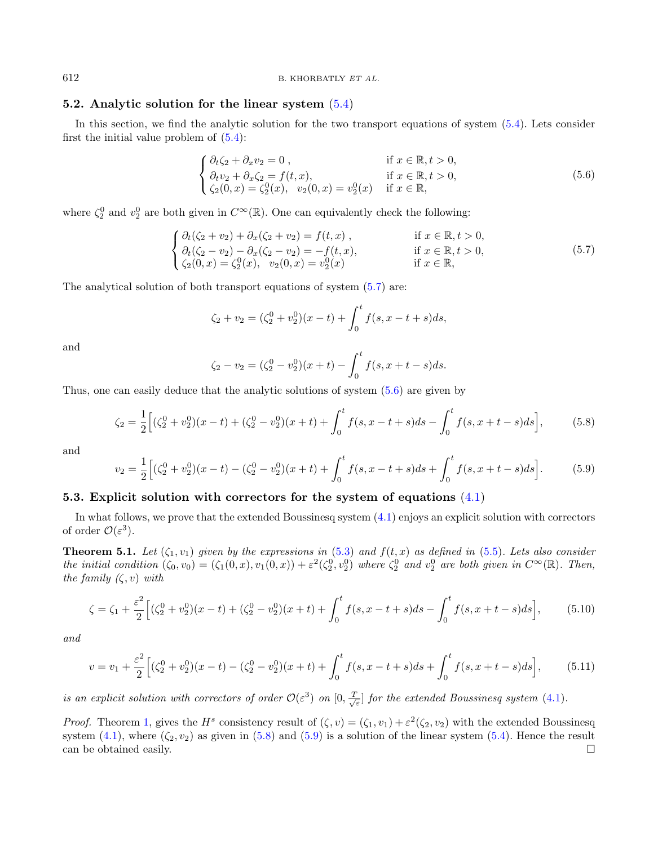612 B. KHORBATLY ET AL.

#### 5.2. Analytic solution for the linear system  $(5.4)$

In this section, we find the analytic solution for the two transport equations of system [\(5.4\)](#page-18-1). Lets consider first the initial value problem of  $(5.4)$ :

<span id="page-19-1"></span><span id="page-19-0"></span>
$$
\begin{cases} \partial_t \zeta_2 + \partial_x v_2 = 0, & \text{if } x \in \mathbb{R}, t > 0, \\ \partial_t v_2 + \partial_x \zeta_2 = f(t, x), & \text{if } x \in \mathbb{R}, t > 0, \\ \zeta_2(0, x) = \zeta_2^0(x), \quad v_2(0, x) = v_2^0(x) & \text{if } x \in \mathbb{R}, \end{cases}
$$
\n(5.6)

where  $\zeta_2^0$  and  $v_2^0$  are both given in  $C^{\infty}(\mathbb{R})$ . One can equivalently check the following:

$$
\begin{cases}\n\partial_t(\zeta_2 + v_2) + \partial_x(\zeta_2 + v_2) = f(t, x) , & \text{if } x \in \mathbb{R}, t > 0, \\
\partial_t(\zeta_2 - v_2) - \partial_x(\zeta_2 - v_2) = -f(t, x), & \text{if } x \in \mathbb{R}, t > 0, \\
\zeta_2(0, x) = \zeta_2^0(x), \quad v_2(0, x) = v_2^0(x) & \text{if } x \in \mathbb{R},\n\end{cases}
$$
\n(5.7)

<span id="page-19-3"></span>The analytical solution of both transport equations of system [\(5.7\)](#page-19-0) are:

<span id="page-19-2"></span>
$$
\zeta_2 + v_2 = (\zeta_2^0 + v_2^0)(x - t) + \int_0^t f(s, x - t + s)ds,
$$

and

$$
\zeta_2 - v_2 = (\zeta_2^0 - v_2^0)(x + t) - \int_0^t f(s, x + t - s) ds.
$$

Thus, one can easily deduce that the analytic solutions of system [\(5.6\)](#page-19-1) are given by

<span id="page-19-5"></span><span id="page-19-4"></span>
$$
\zeta_2 = \frac{1}{2} \Big[ (\zeta_2^0 + v_2^0)(x - t) + (\zeta_2^0 - v_2^0)(x + t) + \int_0^t f(s, x - t + s) ds - \int_0^t f(s, x + t - s) ds \Big],\tag{5.8}
$$

and

$$
v_2 = \frac{1}{2} \Big[ (\zeta_2^0 + v_2^0)(x - t) - (\zeta_2^0 - v_2^0)(x + t) + \int_0^t f(s, x - t + s) ds + \int_0^t f(s, x + t - s) ds \Big].
$$
 (5.9)

#### <span id="page-19-6"></span>5.3. Explicit solution with correctors for the system of equations [\(4.1\)](#page-14-2)

In what follows, we prove that the extended Boussinesq system [\(4.1\)](#page-14-2) enjoys an explicit solution with correctors of order  $\mathcal{O}(\varepsilon^3)$ .

**Theorem 5.1.** Let  $(\zeta_1, v_1)$  given by the expressions in [\(5.3\)](#page-18-2) and  $f(t, x)$  as defined in [\(5.5\)](#page-18-3). Lets also consider the initial condition  $(\zeta_0, v_0) = (\zeta_1(0,x), v_1(0,x)) + \varepsilon^2(\zeta_2^0, v_2^0)$  where  $\zeta_2^0$  and  $v_2^0$  are both given in  $C^{\infty}(\mathbb{R})$ . Then, the family  $(\zeta, v)$  with

$$
\zeta = \zeta_1 + \frac{\varepsilon^2}{2} \Big[ (\zeta_2^0 + v_2^0)(x - t) + (\zeta_2^0 - v_2^0)(x + t) + \int_0^t f(s, x - t + s) ds - \int_0^t f(s, x + t - s) ds \Big],\tag{5.10}
$$

and

$$
v = v_1 + \frac{\varepsilon^2}{2} \Big[ (\zeta_2^0 + v_2^0)(x - t) - (\zeta_2^0 - v_2^0)(x + t) + \int_0^t f(s, x - t + s) ds + \int_0^t f(s, x + t - s) ds \Big],\tag{5.11}
$$

is an explicit solution with correctors of order  $\mathcal{O}(\varepsilon^3)$  on  $[0, \frac{T}{\sqrt{\varepsilon}}]$  for the extended Boussinesq system [\(4.1\)](#page-14-2).

*Proof.* Theorem [1,](#page-18-4) gives the  $H^s$  consistency result of  $(\zeta, v) = (\zeta_1, v_1) + \varepsilon^2(\zeta_2, v_2)$  with the extended Boussinesq system  $(4.1)$ , where  $(\zeta_2, v_2)$  as given in [\(5.8\)](#page-19-2) and [\(5.9\)](#page-19-3) is a solution of the linear system [\(5.4\)](#page-18-1). Hence the result can be obtained easily.  $\Box$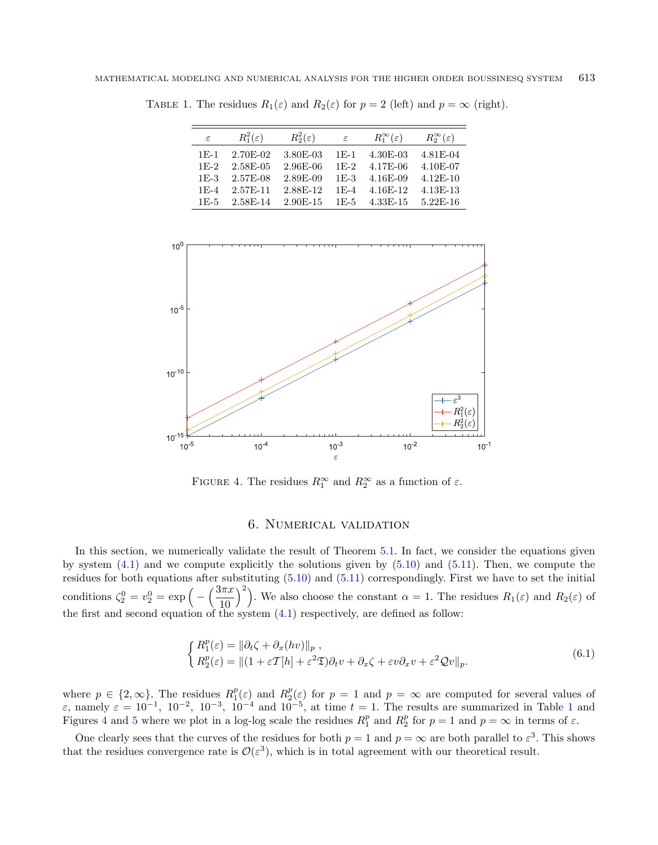| $\varepsilon$ | $R_1^2(\varepsilon)$ | $R_2^2(\varepsilon)$ | $\varepsilon$ | $R_1^{\infty}(\varepsilon)$ | $R_2^{\infty}(\varepsilon)$ |
|---------------|----------------------|----------------------|---------------|-----------------------------|-----------------------------|
| $1F-1$        | 2.70E-02             | 3.80E-03             | $1E-1$        | 4.30E-03                    | 4.81 E-04                   |
| $1F-2$        | 2.58E-05             | 2.96E-06             | $1E-2$        | 4.17E-06                    | 4.10E-07                    |
| $1E-3$        | $2.57E-08$           | 2.89E-09             | $1F-3$        | 4.16E-09                    | $4.12E - 10$                |
| $1E-4$        | 2.57E-11             | 2.88F-12             |               | 1E-4 4.16E-12               | $4.13E-13$                  |
|               | $1F-5$ 2.58F-14      | 2.90E-15             |               | 1E-5 4.33E-15               | $5.22E-16$                  |

<span id="page-20-0"></span>TABLE 1. The residues  $R_1(\varepsilon)$  and  $R_2(\varepsilon)$  for  $p = 2$  (left) and  $p = \infty$  (right).

<span id="page-20-1"></span>

FIGURE 4. The residues  $R_1^{\infty}$  and  $R_2^{\infty}$  as a function of  $\varepsilon$ .

## 6. Numerical validation

In this section, we numerically validate the result of Theorem [5.1.](#page-19-4) In fact, we consider the equations given by system  $(4.1)$  and we compute explicitly the solutions given by  $(5.10)$  and  $(5.11)$ . Then, we compute the residues for both equations after substituting  $(5.10)$  and  $(5.11)$  correspondingly. First we have to set the initial conditions  $\zeta_2^0 = v_2^0 = \exp\left(-\left(\frac{3\pi x}{10}\right)\right)$ 10  $\binom{2}{1}$ . We also choose the constant  $\alpha = 1$ . The residues  $R_1(\varepsilon)$  and  $R_2(\varepsilon)$  of the first and second equation of the system  $(4.1)$  respectively, are defined as follow:

$$
\begin{cases}\nR_1^p(\varepsilon) = \|\partial_t \zeta + \partial_x (hv)\|_p, \\
R_2^p(\varepsilon) = \|(1 + \varepsilon \mathcal{T}[h] + \varepsilon^2 \mathfrak{T}) \partial_t v + \partial_x \zeta + \varepsilon v \partial_x v + \varepsilon^2 \mathcal{Q}v\|_p.\n\end{cases} \tag{6.1}
$$

where  $p \in \{2,\infty\}$ . The residues  $R_1^p(\varepsilon)$  and  $R_2^p(\varepsilon)$  for  $p=1$  and  $p=\infty$  are computed for several values of  $\varepsilon$ , namely  $\varepsilon = 10^{-1}$  $\varepsilon = 10^{-1}$  $\varepsilon = 10^{-1}$ ,  $10^{-2}$ ,  $10^{-3}$ ,  $10^{-4}$  and  $10^{-5}$ , at time  $t = 1$ . The results are summarized in Table 1 and Figures [4](#page-20-1) and [5](#page-21-19) where we plot in a log-log scale the residues  $R_1^p$  and  $R_2^p$  for  $p=1$  and  $p=\infty$  in terms of  $\varepsilon$ .

One clearly sees that the curves of the residues for both  $p = 1$  and  $p = \infty$  are both parallel to  $\varepsilon^3$ . This shows that the residues convergence rate is  $\mathcal{O}(\varepsilon^3)$ , which is in total agreement with our theoretical result.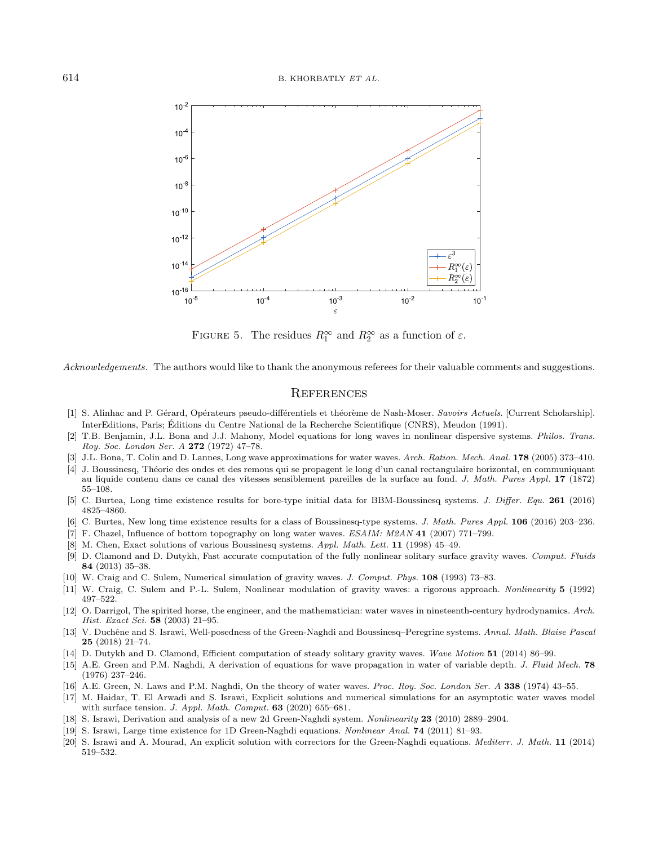<span id="page-21-19"></span>

FIGURE 5. The residues  $R_1^{\infty}$  and  $R_2^{\infty}$  as a function of  $\varepsilon$ .

<span id="page-21-14"></span><span id="page-21-13"></span><span id="page-21-11"></span><span id="page-21-10"></span><span id="page-21-9"></span><span id="page-21-8"></span><span id="page-21-7"></span>Acknowledgements. The authors would like to thank the anonymous referees for their valuable comments and suggestions.

## **REFERENCES**

- <span id="page-21-16"></span><span id="page-21-0"></span>[1] S. Alinhac and P. Gérard, Opérateurs pseudo-différentiels et théorème de Nash-Moser. Savoirs Actuels. [Current Scholarship]. InterEditions, Paris; Editions du Centre National de la Recherche Scientifique (CNRS), Meudon (1991). ´
- <span id="page-21-1"></span>[2] T.B. Benjamin, J.L. Bona and J.J. Mahony, Model equations for long waves in nonlinear dispersive systems. Philos. Trans. Roy. Soc. London Ser. A 272 (1972) 47–78.
- <span id="page-21-12"></span>[3] J.L. Bona, T. Colin and D. Lannes, Long wave approximations for water waves. Arch. Ration. Mech. Anal. 178 (2005) 373–410.
- <span id="page-21-4"></span>[4] J. Boussinesq, Th´eorie des ondes et des remous qui se propagent le long d'un canal rectangulaire horizontal, en communiquant au liquide contenu dans ce canal des vitesses sensiblement pareilles de la surface au fond. J. Math. Pures Appl. 17 (1872) 55–108.
- <span id="page-21-15"></span><span id="page-21-2"></span>[5] C. Burtea, Long time existence results for bore-type initial data for BBM-Boussinesq systems. J. Differ. Equ. 261 (2016) 4825–4860.
- <span id="page-21-3"></span>[6] C. Burtea, New long time existence results for a class of Boussinesq-type systems. J. Math. Pures Appl. 106 (2016) 203–236.
- [7] F. Chazel, Influence of bottom topography on long water waves. ESAIM: M2AN 41 (2007) 771–799.
- <span id="page-21-17"></span>[8] M. Chen, Exact solutions of various Boussinesq systems. Appl. Math. Lett. 11 (1998) 45–49.
- <span id="page-21-5"></span>[9] D. Clamond and D. Dutykh, Fast accurate computation of the fully nonlinear solitary surface gravity waves. Comput. Fluids 84 (2013) 35–38.
- <span id="page-21-6"></span>[10] W. Craig and C. Sulem, Numerical simulation of gravity waves. J. Comput. Phys. 108 (1993) 73–83.
- <span id="page-21-18"></span>[11] W. Craig, C. Sulem and P.-L. Sulem, Nonlinear modulation of gravity waves: a rigorous approach. Nonlinearity 5 (1992) 497–522.
- [12] O. Darrigol, The spirited horse, the engineer, and the mathematician: water waves in nineteenth-century hydrodynamics. Arch. Hist. Exact Sci. 58 (2003) 21–95.
- [13] V. Duchêne and S. Israwi, Well-posedness of the Green-Naghdi and Boussinesq–Peregrine systems. Annal. Math. Blaise Pascal 25 (2018) 21–74.
- [14] D. Dutykh and D. Clamond, Efficient computation of steady solitary gravity waves. Wave Motion 51 (2014) 86–99.
- [15] A.E. Green and P.M. Naghdi, A derivation of equations for wave propagation in water of variable depth. J. Fluid Mech. 78 (1976) 237–246.
- [16] A.E. Green, N. Laws and P.M. Naghdi, On the theory of water waves. Proc. Roy. Soc. London Ser. A 338 (1974) 43–55.
- [17] M. Haidar, T. El Arwadi and S. Israwi, Explicit solutions and numerical simulations for an asymptotic water waves model with surface tension. J. Appl. Math. Comput. **63** (2020) 655–681.
- [18] S. Israwi, Derivation and analysis of a new 2d Green-Naghdi system. Nonlinearity 23 (2010) 2889–2904.
- [19] S. Israwi, Large time existence for 1D Green-Naghdi equations. Nonlinear Anal. 74 (2011) 81–93.
- [20] S. Israwi and A. Mourad, An explicit solution with correctors for the Green-Naghdi equations. Mediterr. J. Math. 11 (2014) 519–532.